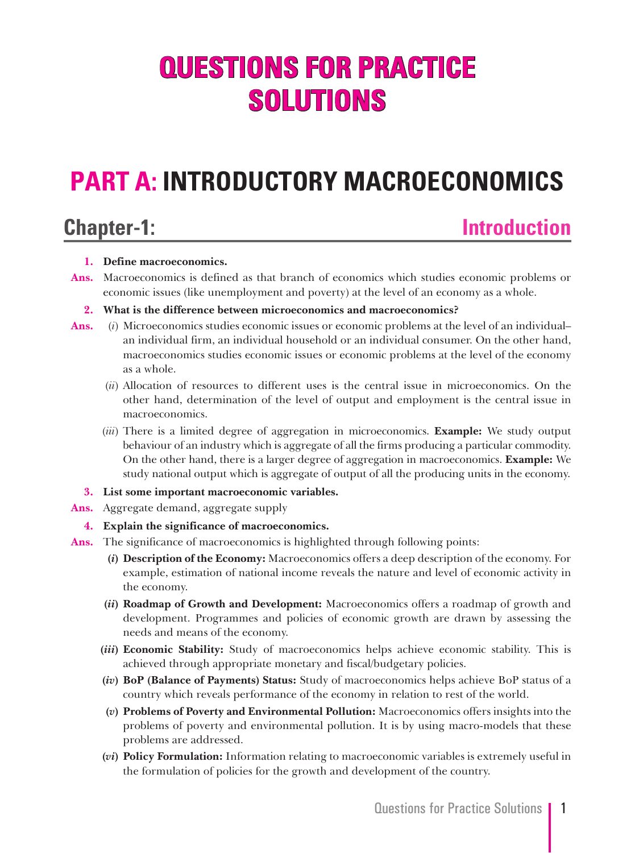# **QUESTIONS FOR PRACTICE SOLUTIONS**

# **PART A: INTRODUCTORY MACROECONOMICS**

### **Chapter-1: Introduction**

#### **1. Define macroeconomics.**

**Ans.** Macroeconomics is defined as that branch of economics which studies economic problems or economic issues (like unemployment and poverty) at the level of an economy as a whole.

### **2. What is the difference between microeconomics and macroeconomics?**

- **Ans.** (*i*) Microeconomics studies economic issues or economic problems at the level of an individual– an individual firm, an individual household or an individual consumer. On the other hand, macroeconomics studies economic issues or economic problems at the level of the economy as a whole.
	- (*ii*) Allocation of resources to different uses is the central issue in microeconomics. On the other hand, determination of the level of output and employment is the central issue in macroeconomics.
	- (*iii*) There is a limited degree of aggregation in microeconomics. **Example:** We study output behaviour of an industry which is aggregate of all the firms producing a particular commodity. On the other hand, there is a larger degree of aggregation in macroeconomics. **Example:** We study national output which is aggregate of output of all the producing units in the economy.
	- **3. List some important macroeconomic variables.**
- **Ans.** Aggregate demand, aggregate supply
	- **4. Explain the significance of macroeconomics.**
- **Ans.** The significance of macroeconomics is highlighted through following points:
	- **(***i***) Description of the Economy:** Macroeconomics offers a deep description of the economy. For example, estimation of national income reveals the nature and level of economic activity in the economy.
	- **(***ii***) Roadmap of Growth and Development:** Macroeconomics offers a roadmap of growth and development. Programmes and policies of economic growth are drawn by assessing the needs and means of the economy.
	- **(***iii***) Economic Stability:** Study of macroeconomics helps achieve economic stability. This is achieved through appropriate monetary and fiscal/budgetary policies.
	- **(***iv***) BoP (Balance of Payments) Status:** Study of macroeconomics helps achieve BoP status of a country which reveals performance of the economy in relation to rest of the world.
	- **(***v***) Problems of Poverty and Environmental Pollution:** Macroeconomics offers insights into the problems of poverty and environmental pollution. It is by using macro-models that these problems are addressed.
	- **(***vi***) Policy Formulation:** Information relating to macroeconomic variables is extremely useful in the formulation of policies for the growth and development of the country.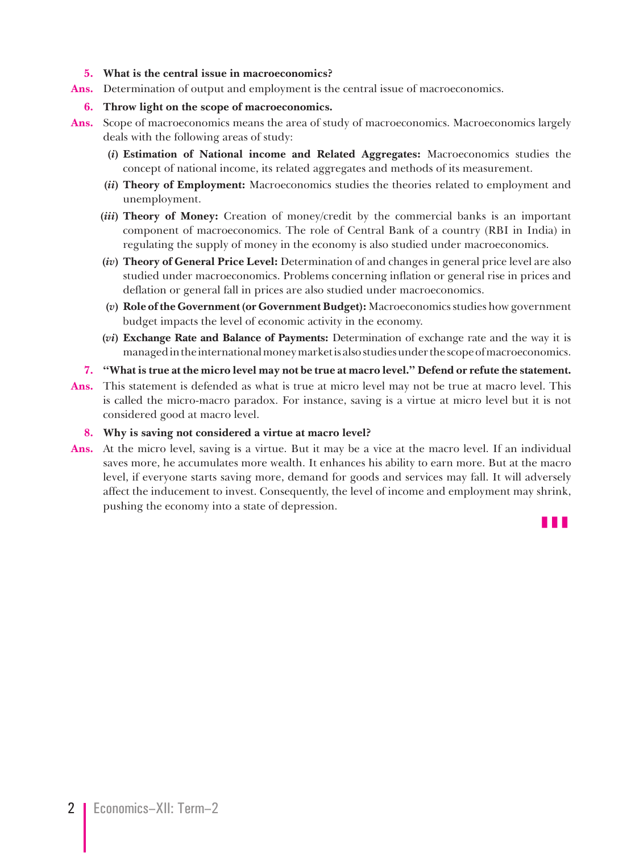#### **5. What is the central issue in macroeconomics?**

**Ans.** Determination of output and employment is the central issue of macroeconomics.

#### **6. Throw light on the scope of macroeconomics.**

- **Ans.** Scope of macroeconomics means the area of study of macroeconomics. Macroeconomics largely deals with the following areas of study:
	- **(***i***) Estimation of National income and Related Aggregates:** Macroeconomics studies the concept of national income, its related aggregates and methods of its measurement.
	- **(***ii***) Theory of Employment:** Macroeconomics studies the theories related to employment and unemployment.
	- **(***iii***) Theory of Money:** Creation of money/credit by the commercial banks is an important component of macroeconomics. The role of Central Bank of a country (RBI in India) in regulating the supply of money in the economy is also studied under macroeconomics.
	- **(***iv***) Theory of General Price Level:** Determination of and changes in general price level are also studied under macroeconomics. Problems concerning inflation or general rise in prices and deflation or general fall in prices are also studied under macroeconomics.
	- **(***v***) Role of the Government (or Government Budget):** Macroeconomics studies how government budget impacts the level of economic activity in the economy.
	- **(***vi***) Exchange Rate and Balance of Payments:** Determination of exchange rate and the way it is managed in the international money market is also studies under the scope of macroeconomics.
	- **7. "What is true at the micro level may not be true at macro level." Defend or refute the statement.**
- **Ans.** This statement is defended as what is true at micro level may not be true at macro level. This is called the micro-macro paradox. For instance, saving is a virtue at micro level but it is not considered good at macro level.

#### **8. Why is saving not considered a virtue at macro level?**

**Ans.** At the micro level, saving is a virtue. But it may be a vice at the macro level. If an individual saves more, he accumulates more wealth. It enhances his ability to earn more. But at the macro level, if everyone starts saving more, demand for goods and services may fall. It will adversely affect the inducement to invest. Consequently, the level of income and employment may shrink, pushing the economy into a state of depression.

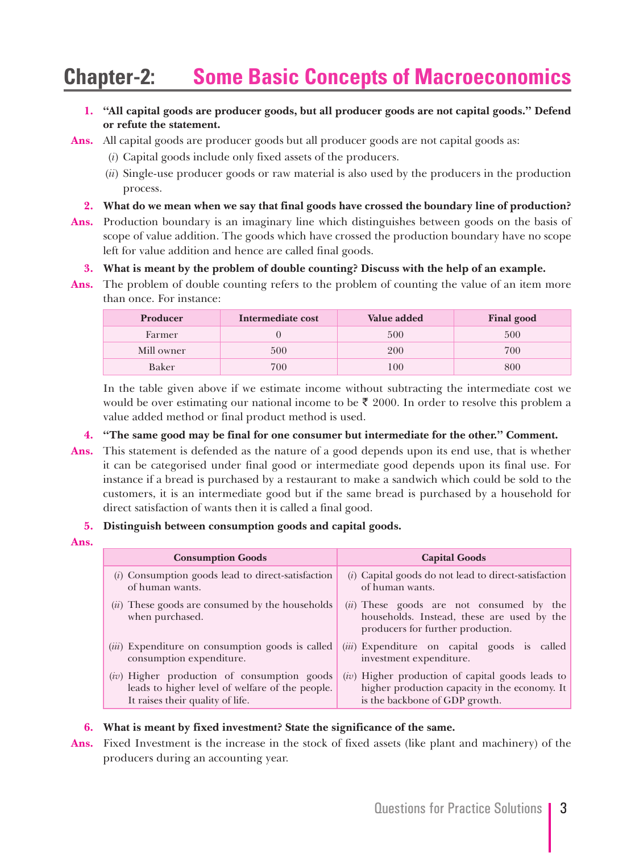### **Chapter-2: Some Basic Concepts of Macroeconomics**

**1. "All capital goods are producer goods, but all producer goods are not capital goods." Defend or refute the statement.**

**Ans.** All capital goods are producer goods but all producer goods are not capital goods as:

- (*i*) Capital goods include only fixed assets of the producers.
- (*ii*) Single-use producer goods or raw material is also used by the producers in the production process.
- **2. What do we mean when we say that final goods have crossed the boundary line of production?**
- **Ans.** Production boundary is an imaginary line which distinguishes between goods on the basis of scope of value addition. The goods which have crossed the production boundary have no scope left for value addition and hence are called final goods.
	- **3. What is meant by the problem of double counting? Discuss with the help of an example.**
- **Ans.** The problem of double counting refers to the problem of counting the value of an item more than once. For instance:

| Producer   | Intermediate cost | Value added | <b>Final good</b> |
|------------|-------------------|-------------|-------------------|
| Farmer     |                   | 500         | 500               |
| Mill owner | 500               | 200         | 700               |
| Baker      | 700               | 100         | 800               |

 In the table given above if we estimate income without subtracting the intermediate cost we would be over estimating our national income to be  $\bar{\ell}$  2000. In order to resolve this problem a value added method or final product method is used.

- **4. "The same good may be final for one consumer but intermediate for the other." Comment.**
- **Ans.** This statement is defended as the nature of a good depends upon its end use, that is whether it can be categorised under final good or intermediate good depends upon its final use. For instance if a bread is purchased by a restaurant to make a sandwich which could be sold to the customers, it is an intermediate good but if the same bread is purchased by a household for direct satisfaction of wants then it is called a final good.

#### **5. Distinguish between consumption goods and capital goods.**

**Ans.**

| <b>Consumption Goods</b>                                             | <b>Capital Goods</b>                                                                                                          |
|----------------------------------------------------------------------|-------------------------------------------------------------------------------------------------------------------------------|
| (i) Consumption goods lead to direct-satisfaction                    | (i) Capital goods do not lead to direct-satisfaction                                                                          |
| of human wants.                                                      | of human wants.                                                                                                               |
| $(ii)$ These goods are consumed by the households<br>when purchased. | $(ii)$ These goods are not consumed by the<br>households. Instead, these are used by the<br>producers for further production. |
| ( <i>iii</i> ) Expenditure on consumption goods is called            | <i>(iii)</i> Expenditure on capital goods is called                                                                           |
| consumption expenditure.                                             | investment expenditure.                                                                                                       |
| $(iv)$ Higher production of consumption goods                        | (iv) Higher production of capital goods leads to                                                                              |
| leads to higher level of welfare of the people.                      | higher production capacity in the economy. It                                                                                 |
| It raises their quality of life.                                     | is the backbone of GDP growth.                                                                                                |

#### **6. What is meant by fixed investment? State the significance of the same.**

**Ans.** Fixed Investment is the increase in the stock of fixed assets (like plant and machinery) of the producers during an accounting year.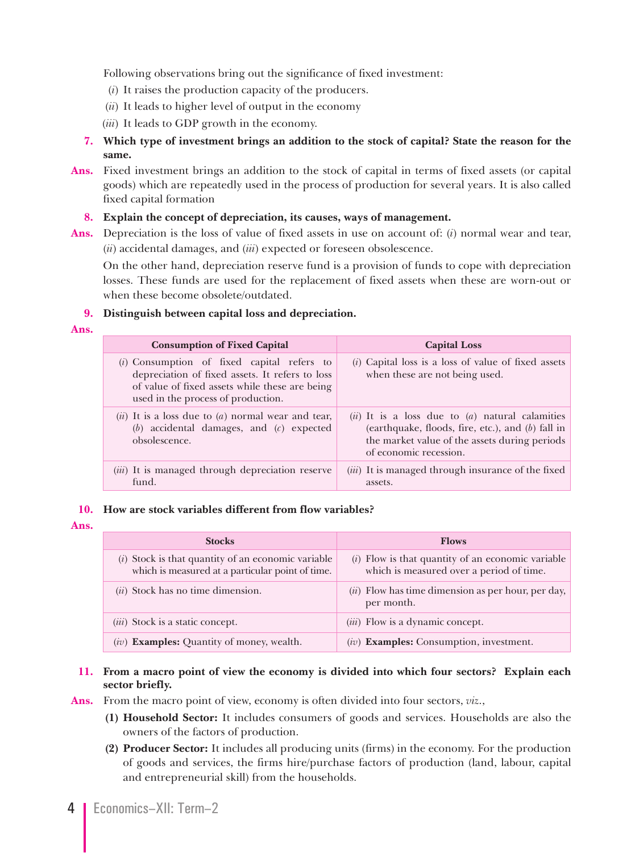Following observations bring out the significance of fixed investment:

- (*i*) It raises the production capacity of the producers.
- (*ii*) It leads to higher level of output in the economy
- (*iii*) It leads to GDP growth in the economy.
- **7. Which type of investment brings an addition to the stock of capital? State the reason for the same.**
- **Ans.** Fixed investment brings an addition to the stock of capital in terms of fixed assets (or capital goods) which are repeatedly used in the process of production for several years. It is also called fixed capital formation

#### **8. Explain the concept of depreciation, its causes, ways of management.**

**Ans.** Depreciation is the loss of value of fixed assets in use on account of: (*i*) normal wear and tear, (*ii*) accidental damages, and (*iii*) expected or foreseen obsolescence.

 On the other hand, depreciation reserve fund is a provision of funds to cope with depreciation losses. These funds are used for the replacement of fixed assets when these are worn-out or when these become obsolete/outdated.

#### **9. Distinguish between capital loss and depreciation.**

| <b>Consumption of Fixed Capital</b>                                                                                                                                                     | <b>Capital Loss</b>                                                                                                                                                                   |
|-----------------------------------------------------------------------------------------------------------------------------------------------------------------------------------------|---------------------------------------------------------------------------------------------------------------------------------------------------------------------------------------|
| $(i)$ Consumption of fixed capital refers to<br>depreciation of fixed assets. It refers to loss<br>of value of fixed assets while these are being<br>used in the process of production. | $(i)$ Capital loss is a loss of value of fixed assets<br>when these are not being used.                                                                                               |
| $(ii)$ It is a loss due to $(a)$ normal wear and tear,<br>$(b)$ accidental damages, and $(c)$ expected<br>obsolescence.                                                                 | $(ii)$ It is a loss due to $(a)$ natural calamities<br>(earthquake, floods, fire, etc.), and $(b)$ fall in<br>the market value of the assets during periods<br>of economic recession. |
| (iii) It is managed through depreciation reserve<br>fund.                                                                                                                               | ( <i>iii</i> ) It is managed through insurance of the fixed<br>assets.                                                                                                                |

#### **10. How are stock variables different from flow variables?**

#### **Ans.**

| <b>Stocks</b>                                                                                            | <b>Flows</b>                                                                                    |
|----------------------------------------------------------------------------------------------------------|-------------------------------------------------------------------------------------------------|
| $(i)$ Stock is that quantity of an economic variable<br>which is measured at a particular point of time. | $(i)$ Flow is that quantity of an economic variable<br>which is measured over a period of time. |
| $(ii)$ Stock has no time dimension.                                                                      | $(ii)$ Flow has time dimension as per hour, per day,<br>per month.                              |
| ( <i>iii</i> ) Stock is a static concept.                                                                | (iii) Flow is a dynamic concept.                                                                |
| $(iv)$ <b>Examples:</b> Quantity of money, wealth.                                                       | $(iv)$ Examples: Consumption, investment.                                                       |

#### **11. From a macro point of view the economy is divided into which four sectors? Explain each sector briefly.**

**Ans.** From the macro point of view, economy is often divided into four sectors, *viz*.,

- **(1) Household Sector:** It includes consumers of goods and services. Households are also the owners of the factors of production.
- **(2) Producer Sector:** It includes all producing units (firms) in the economy. For the production of goods and services, the firms hire/purchase factors of production (land, labour, capital and entrepreneurial skill) from the households.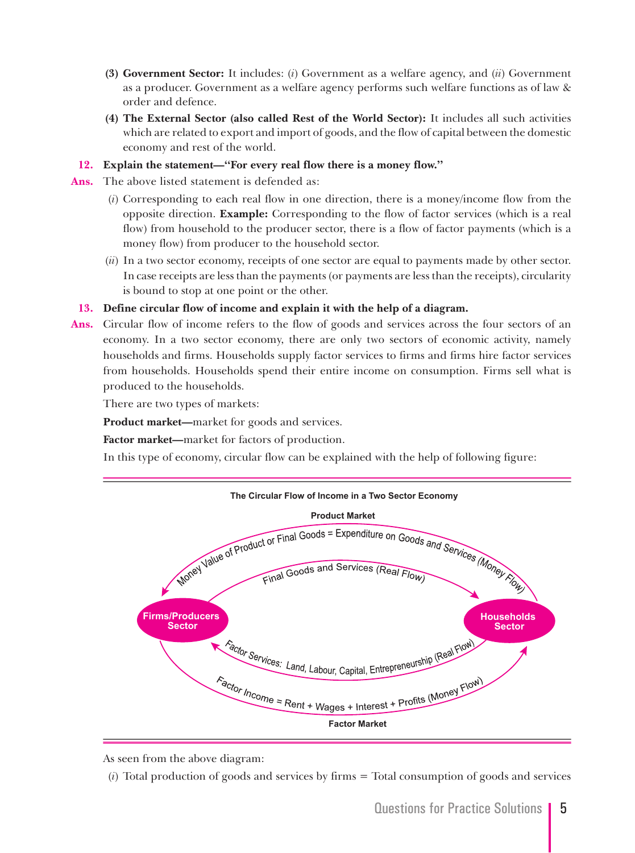- **(3) Government Sector:** It includes: (*i*) Government as a welfare agency, and (*ii*) Government as a producer. Government as a welfare agency performs such welfare functions as of law & order and defence.
- **(4) The External Sector (also called Rest of the World Sector):** It includes all such activities which are related to export and import of goods, and the flow of capital between the domestic economy and rest of the world.
- **12. Explain the statement—"For every real flow there is a money flow."**
- **Ans.** The above listed statement is defended as:
	- (*i*) Corresponding to each real flow in one direction, there is a money/income flow from the opposite direction. **Example:** Corresponding to the flow of factor services (which is a real flow) from household to the producer sector, there is a flow of factor payments (which is a money flow) from producer to the household sector.
	- (*ii*) In a two sector economy, receipts of one sector are equal to payments made by other sector. In case receipts are less than the payments (or payments are less than the receipts), circularity is bound to stop at one point or the other.

#### **13. Define circular flow of income and explain it with the help of a diagram.**

**Ans.** Circular flow of income refers to the flow of goods and services across the four sectors of an economy. In a two sector economy, there are only two sectors of economic activity, namely households and firms. Households supply factor services to firms and firms hire factor services from households. Households spend their entire income on consumption. Firms sell what is produced to the households.

There are two types of markets:

**Product market—**market for goods and services.

 **Factor market—**market for factors of production.

In this type of economy, circular flow can be explained with the help of following figure:



As seen from the above diagram:

(*i*) Total production of goods and services by firms = Total consumption of goods and services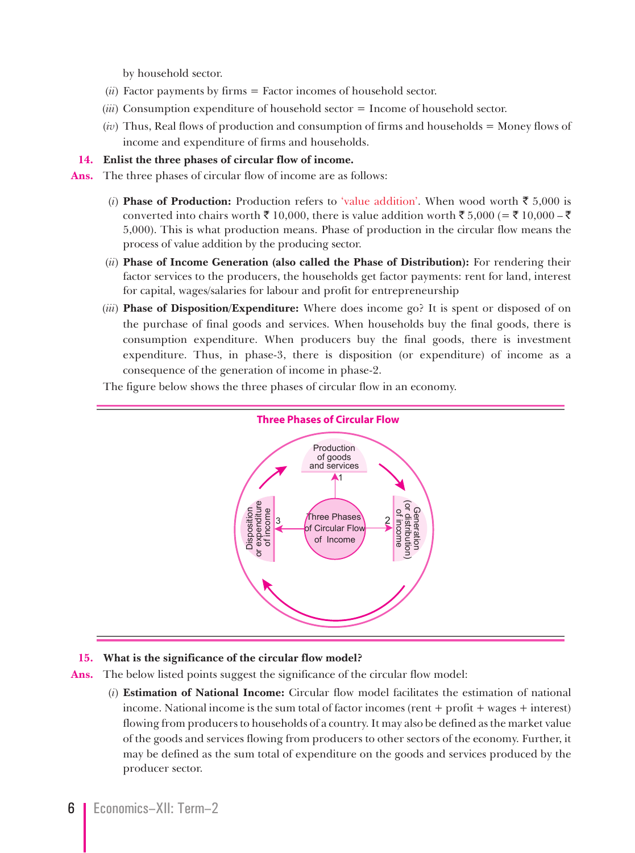by household sector.

- (*ii*) Factor payments by firms = Factor incomes of household sector.
- (*iii*) Consumption expenditure of household sector = Income of household sector.
- (*iv*) Thus, Real flows of production and consumption of firms and households = Money flows of income and expenditure of firms and households.

**14. Enlist the three phases of circular flow of income.**

**Ans.** The three phases of circular flow of income are as follows:

- (*i*) **Phase of Production:** Production refers to 'value addition'. When wood worth  $\bar{\tau}$  5,000 is converted into chairs worth  $\bar{\xi}$  10,000, there is value addition worth  $\bar{\xi}$  5,000 (=  $\bar{\xi}$  10,000 –  $\bar{\xi}$ 5,000). This is what production means. Phase of production in the circular flow means the process of value addition by the producing sector.
- (*ii*) **Phase of Income Generation (also called the Phase of Distribution):** For rendering their factor services to the producers, the households get factor payments: rent for land, interest for capital, wages/salaries for labour and profit for entrepreneurship
- (*iii*) **Phase of Disposition/Expenditure:** Where does income go? It is spent or disposed of on the purchase of final goods and services. When households buy the final goods, there is consumption expenditure. When producers buy the final goods, there is investment expenditure. Thus, in phase-3, there is disposition (or expenditure) of income as a consequence of the generation of income in phase-2.



The figure below shows the three phases of circular flow in an economy.

#### **15. What is the significance of the circular flow model?**

**Ans.** The below listed points suggest the significance of the circular flow model:

 (*i*) **Estimation of National Income:** Circular flow model facilitates the estimation of national income. National income is the sum total of factor incomes (rent + profit + wages + interest) flowing from producers to households of a country. It may also be defined as the market value of the goods and services flowing from producers to other sectors of the economy. Further, it may be defined as the sum total of expenditure on the goods and services produced by the producer sector.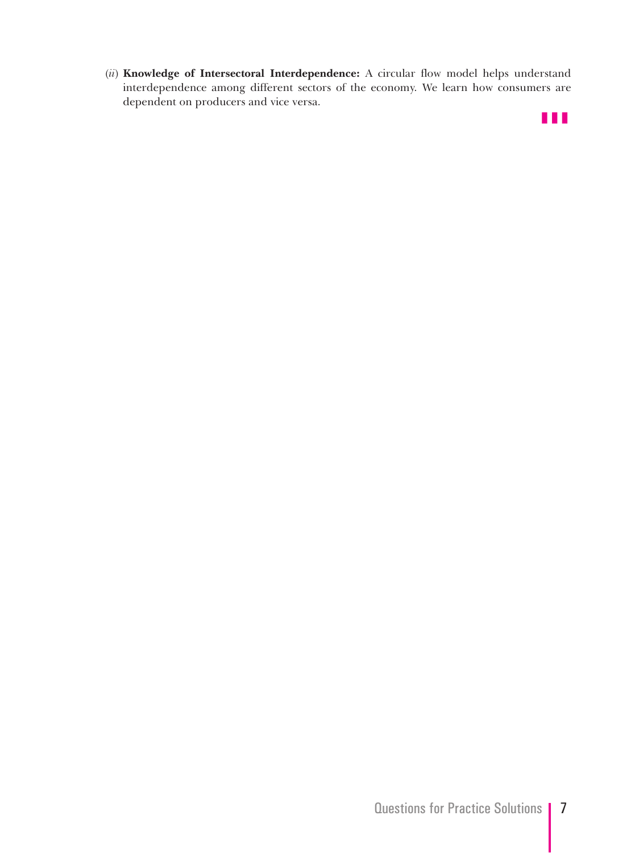(*ii*) **Knowledge of Intersectoral Interdependence:** A circular flow model helps understand interdependence among different sectors of the economy. We learn how consumers are dependent on producers and vice versa.

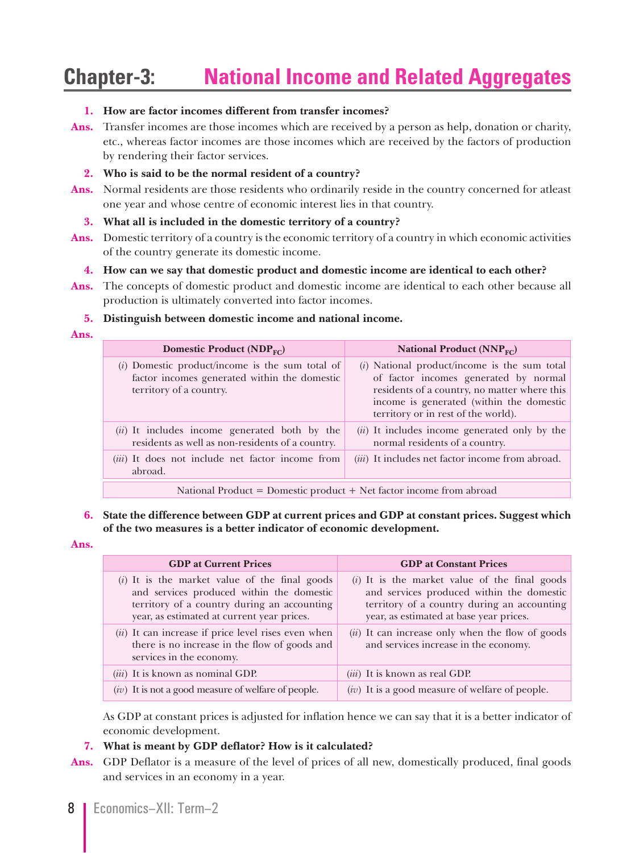## **Chapter-3: National Income and Related Aggregates**

#### **1. How are factor incomes different from transfer incomes?**

**Ans.** Transfer incomes are those incomes which are received by a person as help, donation or charity, etc., whereas factor incomes are those incomes which are received by the factors of production by rendering their factor services.

#### **2. Who is said to be the normal resident of a country?**

**Ans.** Normal residents are those residents who ordinarily reside in the country concerned for atleast one year and whose centre of economic interest lies in that country.

#### **3. What all is included in the domestic territory of a country?**

**Ans.** Domestic territory of a country is the economic territory of a country in which economic activities of the country generate its domestic income.

#### **4. How can we say that domestic product and domestic income are identical to each other?**

**Ans.** The concepts of domestic product and domestic income are identical to each other because all production is ultimately converted into factor incomes.

#### **5. Distinguish between domestic income and national income.**

**Ans.**

| Domestic Product ( $NDP_{FC}$ )                                                                                              | National Product ( $NNPFC$ )                                                                                                                                                                                               |  |
|------------------------------------------------------------------------------------------------------------------------------|----------------------------------------------------------------------------------------------------------------------------------------------------------------------------------------------------------------------------|--|
| $(i)$ Domestic product/income is the sum total of<br>factor incomes generated within the domestic<br>territory of a country. | $(i)$ National product/income is the sum total<br>of factor incomes generated by normal<br>residents of a country, no matter where this<br>income is generated (within the domestic<br>territory or in rest of the world). |  |
| (ii) It includes income generated both by the<br>residents as well as non-residents of a country.                            | ( <i>ii</i> ) It includes income generated only by the<br>normal residents of a country.                                                                                                                                   |  |
| ( <i>iii</i> ) It does not include net factor income from<br>abroad.                                                         | ( <i>iii</i> ) It includes net factor income from abroad.                                                                                                                                                                  |  |
| National Product = Domestic product + Net factor income from abroad                                                          |                                                                                                                                                                                                                            |  |

#### **6. State the difference between GDP at current prices and GDP at constant prices. Suggest which of the two measures is a better indicator of economic development.**

**Ans.**

| <b>GDP</b> at Current Prices                                                                                                                                                              | <b>GDP</b> at Constant Prices                                                                                                                                                          |
|-------------------------------------------------------------------------------------------------------------------------------------------------------------------------------------------|----------------------------------------------------------------------------------------------------------------------------------------------------------------------------------------|
| $(i)$ It is the market value of the final goods<br>and services produced within the domestic<br>territory of a country during an accounting<br>year, as estimated at current year prices. | $(i)$ It is the market value of the final goods<br>and services produced within the domestic<br>territory of a country during an accounting<br>year, as estimated at base year prices. |
| $(ii)$ It can increase if price level rises even when<br>there is no increase in the flow of goods and<br>services in the economy.                                                        | $(ii)$ It can increase only when the flow of goods<br>and services increase in the economy.                                                                                            |
| $(iii)$ It is known as nominal GDP.                                                                                                                                                       | ( <i>iii</i> ) It is known as real GDP.                                                                                                                                                |
| $(iv)$ It is not a good measure of welfare of people.                                                                                                                                     | $(iv)$ It is a good measure of welfare of people.                                                                                                                                      |

 As GDP at constant prices is adjusted for inflation hence we can say that it is a better indicator of economic development.

#### **7. What is meant by GDP deflator? How is it calculated?**

**Ans.** GDP Deflator is a measure of the level of prices of all new, domestically produced, final goods and services in an economy in a year.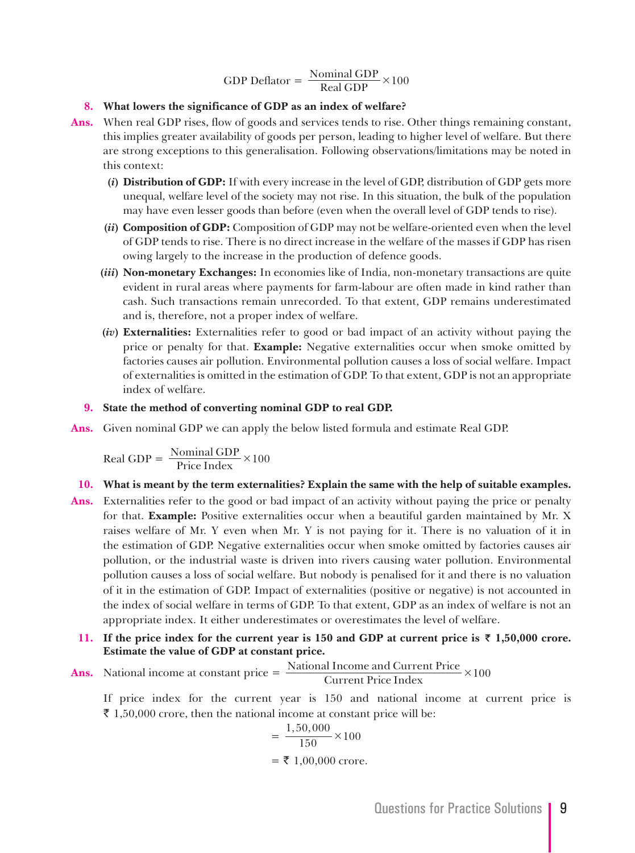GDP Deflator = 
$$
\frac{\text{Nominal GDP}}{\text{Real GDP}} \times 100
$$

#### **8. What lowers the significance of GDP as an index of welfare?**

- **Ans.** When real GDP rises, flow of goods and services tends to rise. Other things remaining constant, this implies greater availability of goods per person, leading to higher level of welfare. But there are strong exceptions to this generalisation. Following observations/limitations may be noted in this context:
	- **(***i***) Distribution of GDP:** If with every increase in the level of GDP, distribution of GDP gets more unequal, welfare level of the society may not rise. In this situation, the bulk of the population may have even lesser goods than before (even when the overall level of GDP tends to rise).
	- **(***ii***) Composition of GDP:** Composition of GDP may not be welfare-oriented even when the level of GDP tends to rise. There is no direct increase in the welfare of the masses if GDP has risen owing largely to the increase in the production of defence goods.
	- **(***iii***) Non-monetary Exchanges:** In economies like of India, non-monetary transactions are quite evident in rural areas where payments for farm-labour are often made in kind rather than cash. Such transactions remain unrecorded. To that extent, GDP remains underestimated and is, therefore, not a proper index of welfare.
	- **(***iv***) Externalities:** Externalities refer to good or bad impact of an activity without paying the price or penalty for that. **Example:** Negative externalities occur when smoke omitted by factories causes air pollution. Environmental pollution causes a loss of social welfare. Impact of externalities is omitted in the estimation of GDP. To that extent, GDP is not an appropriate index of welfare.
	- **9. State the method of converting nominal GDP to real GDP.**
- **Ans.** Given nominal GDP we can apply the below listed formula and estimate Real GDP.

$$
Real GDP = \frac{Nominal GDP}{Price Index} \times 100
$$

#### **10. What is meant by the term externalities? Explain the same with the help of suitable examples.**

- **Ans.** Externalities refer to the good or bad impact of an activity without paying the price or penalty for that. **Example:** Positive externalities occur when a beautiful garden maintained by Mr. X raises welfare of Mr. Y even when Mr. Y is not paying for it. There is no valuation of it in the estimation of GDP. Negative externalities occur when smoke omitted by factories causes air pollution, or the industrial waste is driven into rivers causing water pollution. Environmental pollution causes a loss of social welfare. But nobody is penalised for it and there is no valuation of it in the estimation of GDP. Impact of externalities (positive or negative) is not accounted in the index of social welfare in terms of GDP. To that extent, GDP as an index of welfare is not an appropriate index. It either underestimates or overestimates the level of welfare.
- **11.** If the price index for the current year is 150 and GDP at current price is  $\bar{\tau}$  1,50,000 crore. **Estimate the value of GDP at constant price.**
- **Ans.** National income at constant price  $=$   $\frac{\text{National Income and Current Price}}{\text{Current Price Index}} \times 100$ **Current Price Index**

 If price index for the current year is 150 and national income at current price is ₹ 1,50,000 crore, then the national income at constant price will be:

$$
= \frac{1,50,000}{150} \times 100
$$
  
= ₹ 1,00,000 crore.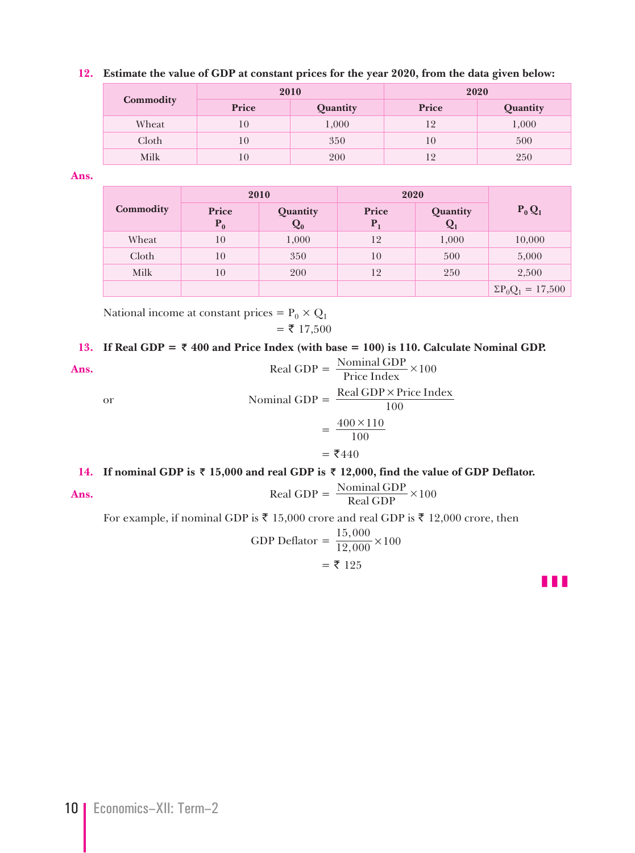#### **12. Estimate the value of GDP at constant prices for the year 2020, from the data given below:**

|           | 2010  |          | 2020  |          |
|-----------|-------|----------|-------|----------|
| Commodity | Price | Quantity | Price | Quantity |
| Wheat     | 10    | 1,000    | 12    | 1,000    |
| Cloth     | 10    | 350      | 10    | 500      |
| Milk      | 10    | 200      | 12    | 250      |

**Ans.**

| 2010      |                       | 2020                       |                |                   |                           |
|-----------|-----------------------|----------------------------|----------------|-------------------|---------------------------|
| Commodity | <b>Price</b><br>$P_0$ | Quantity<br>$\mathbf{Q}_0$ | Price<br>$P_1$ | Quantity<br>$Q_1$ | $P_0 Q_1$                 |
| Wheat     | 10                    | 1,000                      | 12             | 1,000             | 10,000                    |
| Cloth     | 10                    | 350                        | 10             | 500               | 5,000                     |
| Milk      | 10                    | 200                        | 12             | 250               | 2,500                     |
|           |                       |                            |                |                   | $\Sigma P_0 Q_1 = 17,500$ |

National income at constant prices =  $P_0 \times Q_1$  $=$  ₹ 17,500

#### 13. If Real GDP =  $\bar{\tau}$  400 and Price Index (with base = 100) is 110. Calculate Nominal GDP.

**Ans.** Real GDP =  $\frac{\text{Nominal GDP}}{\text{Price Index}} \times 100$ or Nominal GDP =  $\frac{\text{Real GDP} \times \text{Price Index}}{100}$  $=\frac{400\times110}{100}$  $= 7440$ 

#### **14.** If nominal GDP is  $\bar{\tau}$  15,000 and real GDP is  $\bar{\tau}$  12,000, find the value of GDP Deflator.

**Ans.** Real GDP = 
$$
\frac{\text{Nominal GDP}}{\text{Real GDP}} \times 100
$$

For example, if nominal GDP is ₹ 15,000 crore and real GDP is ₹ 12,000 crore, then

GDP Deflator = 
$$
\frac{15,000}{12,000} \times 100
$$
  
= ₹ 125

z z z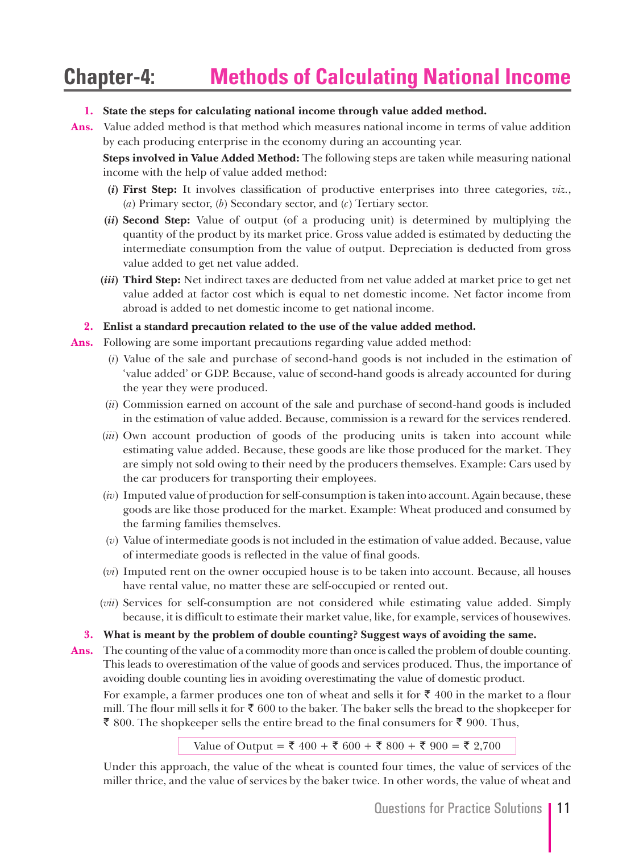## **Chapter-4: Methods of Calculating National Income**

#### **1. State the steps for calculating national income through value added method.**

**Ans.** Value added method is that method which measures national income in terms of value addition by each producing enterprise in the economy during an accounting year.

 **Steps involved in Value Added Method:** The following steps are taken while measuring national income with the help of value added method:

- **(***i***) First Step:** It involves classification of productive enterprises into three categories, *viz.*, (*a*) Primary sector, (*b*) Secondary sector, and (*c*) Tertiary sector.
- **(***ii***) Second Step:** Value of output (of a producing unit) is determined by multiplying the quantity of the product by its market price. Gross value added is estimated by deducting the intermediate consumption from the value of output. Depreciation is deducted from gross value added to get net value added.
- **(***iii***) Third Step:** Net indirect taxes are deducted from net value added at market price to get net value added at factor cost which is equal to net domestic income. Net factor income from abroad is added to net domestic income to get national income.

**2. Enlist a standard precaution related to the use of the value added method.**

- **Ans.** Following are some important precautions regarding value added method:
	- (*i*) Value of the sale and purchase of second-hand goods is not included in the estimation of 'value added' or GDP. Because, value of second-hand goods is already accounted for during the year they were produced.
	- (*ii*) Commission earned on account of the sale and purchase of second-hand goods is included in the estimation of value added. Because, commission is a reward for the services rendered.
	- (*iii*) Own account production of goods of the producing units is taken into account while estimating value added. Because, these goods are like those produced for the market. They are simply not sold owing to their need by the producers themselves. Example: Cars used by the car producers for transporting their employees.
	- (*iv*) Imputed value of production for self-consumption is taken into account. Again because, these goods are like those produced for the market. Example: Wheat produced and consumed by the farming families themselves.
	- (*v*) Value of intermediate goods is not included in the estimation of value added. Because, value of intermediate goods is reflected in the value of final goods.
	- (*vi*) Imputed rent on the owner occupied house is to be taken into account. Because, all houses have rental value, no matter these are self-occupied or rented out.
	- (*vii*) Services for self-consumption are not considered while estimating value added. Simply because, it is difficult to estimate their market value, like, for example, services of housewives.

#### **3. What is meant by the problem of double counting? Suggest ways of avoiding the same.**

**Ans.** The counting of the value of a commodity more than once is called the problem of double counting. This leads to overestimation of the value of goods and services produced. Thus, the importance of avoiding double counting lies in avoiding overestimating the value of domestic product.

For example, a farmer produces one ton of wheat and sells it for  $\bar{\tau}$  400 in the market to a flour mill. The flour mill sells it for  $\bar{\tau}$  600 to the baker. The baker sells the bread to the shopkeeper for ₹ 800. The shopkeeper sells the entire bread to the final consumers for ₹ 900. Thus,

Value of Output = ₹ 400 + ₹ 600 + ₹ 800 + ₹ 900 = ₹ 2,700

 Under this approach, the value of the wheat is counted four times, the value of services of the miller thrice, and the value of services by the baker twice. In other words, the value of wheat and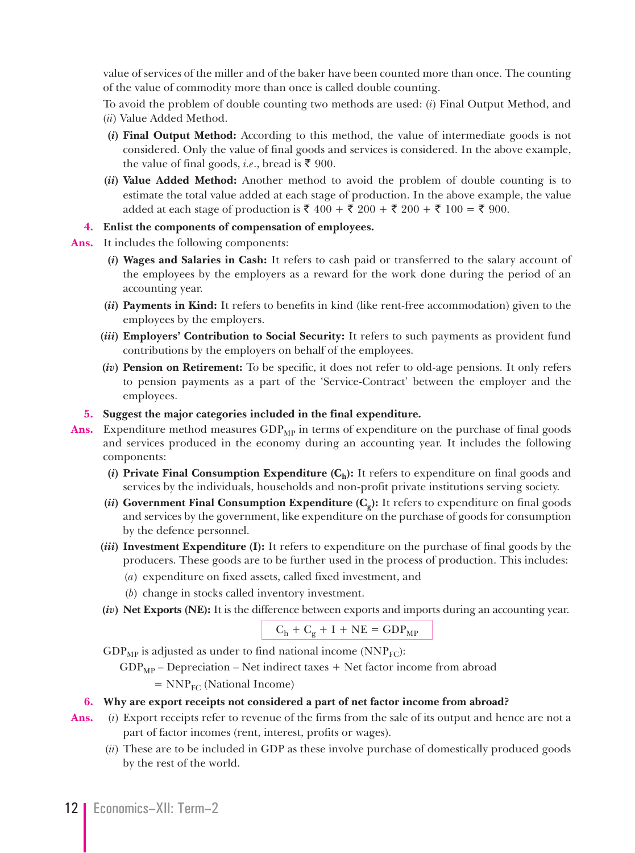value of services of the miller and of the baker have been counted more than once. The counting of the value of commodity more than once is called double counting.

 To avoid the problem of double counting two methods are used: (*i*) Final Output Method, and (*ii*) Value Added Method.

- **(***i***) Final Output Method:** According to this method, the value of intermediate goods is not considered. Only the value of final goods and services is considered. In the above example, the value of final goods, *i.e.*, bread is ₹ 900.
- **(***ii***) Value Added Method:** Another method to avoid the problem of double counting is to estimate the total value added at each stage of production. In the above example, the value added at each stage of production is  $\bar{x}$  400 +  $\bar{x}$  200 +  $\bar{x}$  200 +  $\bar{x}$  100 =  $\bar{x}$  900.

#### **4. Enlist the components of compensation of employees.**

- **Ans.** It includes the following components:
	- **(***i***) Wages and Salaries in Cash:** It refers to cash paid or transferred to the salary account of the employees by the employers as a reward for the work done during the period of an accounting year.
	- **(***ii***) Payments in Kind:** It refers to benefits in kind (like rent-free accommodation) given to the employees by the employers.
	- **(***iii***) Employers' Contribution to Social Security:** It refers to such payments as provident fund contributions by the employers on behalf of the employees.
	- **(***iv***) Pension on Retirement:** To be specific, it does not refer to old-age pensions. It only refers to pension payments as a part of the 'Service-Contract' between the employer and the employees.

#### **5. Suggest the major categories included in the final expenditure.**

- Ans. Expenditure method measures GDP<sub>MP</sub> in terms of expenditure on the purchase of final goods and services produced in the economy during an accounting year. It includes the following components:
	- (*i*) **Private Final Consumption Expenditure**  $(C_h)$ **:** It refers to expenditure on final goods and services by the individuals, households and non-profit private institutions serving society.
	- (*ii*) Government Final Consumption Expenditure  $(C_{\alpha})$ : It refers to expenditure on final goods and services by the government, like expenditure on the purchase of goods for consumption by the defence personnel.
	- **(***iii***) Investment Expenditure (I):** It refers to expenditure on the purchase of final goods by the producers. These goods are to be further used in the process of production. This includes:
		- (*a*) expenditure on fixed assets, called fixed investment, and
		- (*b*) change in stocks called inventory investment.
	- **(***iv***) Net Exports (NE):** It is the difference between exports and imports during an accounting year.

$$
C_h + C_g + I + NE = GDP_{MP}
$$

 $GDP<sub>MP</sub>$  is adjusted as under to find national income (NNP<sub>FC</sub>):

 $GDP<sub>MP</sub>$  – Depreciation – Net indirect taxes + Net factor income from abroad

 $= NNP<sub>FC</sub>$  (National Income)

#### **6. Why are export receipts not considered a part of net factor income from abroad?**

- **Ans.** (*i*) Export receipts refer to revenue of the firms from the sale of its output and hence are not a part of factor incomes (rent, interest, profits or wages).
	- (*ii*) These are to be included in GDP as these involve purchase of domestically produced goods by the rest of the world.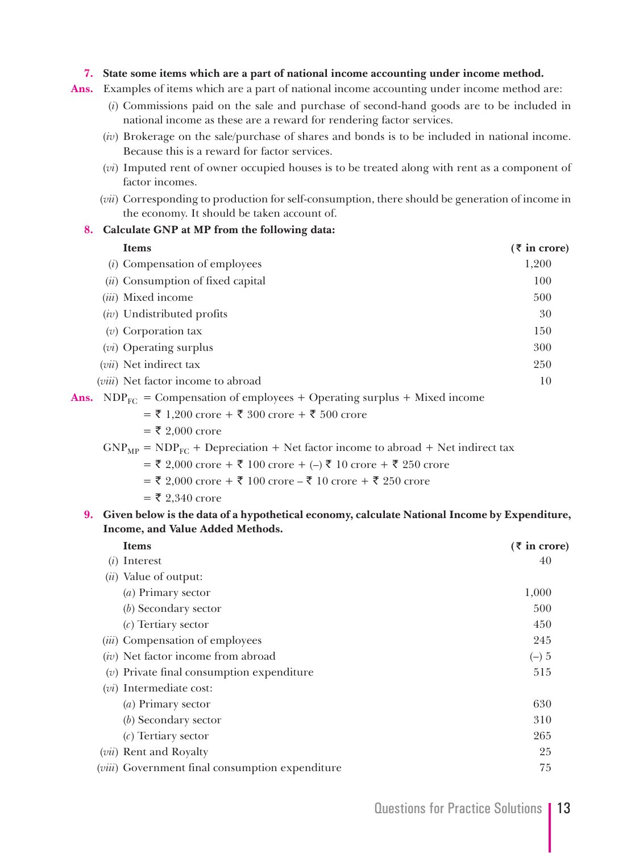#### **7. State some items which are a part of national income accounting under income method.**

**Ans.** Examples of items which are a part of national income accounting under income method are:

- (*i*) Commissions paid on the sale and purchase of second-hand goods are to be included in national income as these are a reward for rendering factor services.
- (*iv*) Brokerage on the sale/purchase of shares and bonds is to be included in national income. Because this is a reward for factor services.
- (*vi*) Imputed rent of owner occupied houses is to be treated along with rent as a component of factor incomes.
- (*vii*) Corresponding to production for self-consumption, there should be generation of income in the economy. It should be taken account of.

#### **8. Calculate GNP at MP from the following data:**

| Items                                  | $(\bar{z}$ in crore) |
|----------------------------------------|----------------------|
| ( <i>i</i> ) Compensation of employees | 1,200                |
| $(ii)$ Consumption of fixed capital    | 100                  |
| <i>(iii)</i> Mixed income              | 500                  |
| $(iv)$ Undistributed profits           | 30                   |
| $(v)$ Corporation tax                  | 150                  |
| $(vi)$ Operating surplus               | 300                  |
| $(vii)$ Net indirect tax               | 250                  |
| (viii) Net factor income to abroad     | 10                   |
|                                        |                      |

**Ans.** NDP<sub>FC</sub> = Compensation of employees + Operating surplus + Mixed income

 $=$  ₹ 1,200 crore + ₹ 300 crore + ₹ 500 crore

 $=$  ₹ 2,000 crore

 $GNP<sub>MP</sub> = NDP<sub>FC</sub> + Depreciation + Net factor income to abroad + Net indirect tax$ 

 $=$  ₹ 2,000 crore + ₹ 100 crore + (–) ₹ 10 crore + ₹ 250 crore

 $=$  ₹ 2,000 crore + ₹ 100 crore – ₹ 10 crore + ₹ 250 crore

 $= 52.340$  crore

**9. Given below is the data of a hypothetical economy, calculate National Income by Expenditure, Income, and Value Added Methods.**

| <b>Items</b>                                             | $(\bar{z}$ in crore) |
|----------------------------------------------------------|----------------------|
| $(i)$ Interest                                           | 40                   |
| ( <i>ii</i> ) Value of output:                           |                      |
| $(a)$ Primary sector                                     | 1,000                |
| $(b)$ Secondary sector                                   | 500                  |
| $(c)$ Tertiary sector                                    | 450                  |
| (iii) Compensation of employees                          | 245                  |
| $(iv)$ Net factor income from abroad                     | $(-)5$               |
| $(v)$ Private final consumption expenditure              | 515                  |
| $(vi)$ Intermediate cost:                                |                      |
| $(a)$ Primary sector                                     | 630                  |
| (b) Secondary sector                                     | 310                  |
| $(c)$ Tertiary sector                                    | 265                  |
| ( <i>vii</i> ) Rent and Royalty                          | 25                   |
| ( <i>viii</i> ) Government final consumption expenditure | 75                   |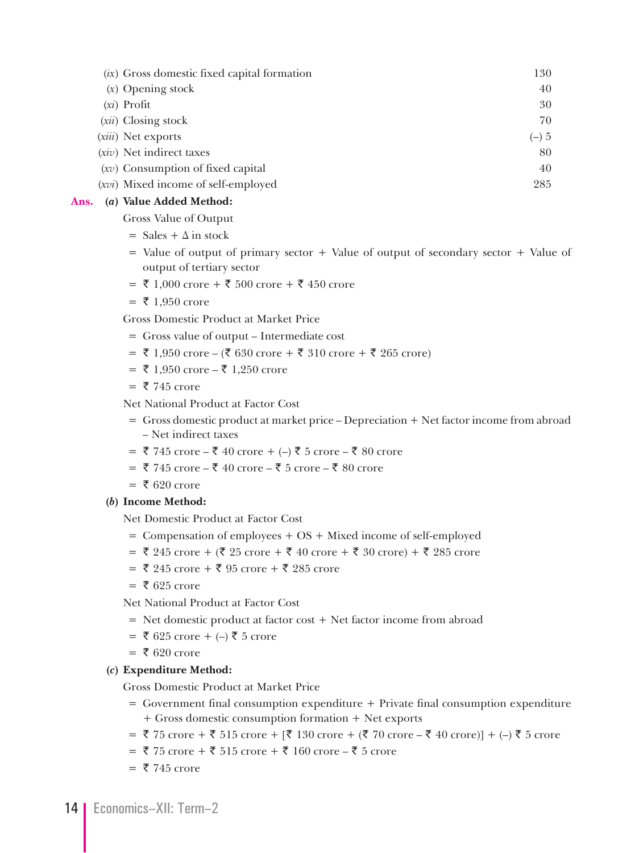| (ix) Gross domestic fixed capital formation | 130    |
|---------------------------------------------|--------|
| $(x)$ Opening stock                         | 40     |
| $(x_i)$ Profit                              | 30     |
| $(xii)$ Closing stock                       | 70     |
| (xiii) Net exports                          | $(-)5$ |
| $(xiv)$ Net indirect taxes                  | 80     |
| $(xv)$ Consumption of fixed capital         | 40     |
| (xvi) Mixed income of self-employed         | 285    |
|                                             |        |

#### **Ans. (***a***) Value Added Method:**

Gross Value of Output

- $=$  Sales  $+$   $\Delta$  in stock
- $=$  Value of output of primary sector  $+$  Value of output of secondary sector  $+$  Value of output of tertiary sector
- $= ₹ 1,000$  crore + ₹ 500 crore + ₹ 450 crore
- $= 71,950$  crore

Gross Domestic Product at Market Price

- = Gross value of output Intermediate cost
- $=$  ₹ 1,950 crore (₹ 630 crore + ₹ 310 crore + ₹ 265 crore)
- $= ₹ 1,950$  crore  $₹ 1,250$  crore
- $=$  ₹ 745 crore

Net National Product at Factor Cost

- = Gross domestic product at market price Depreciation + Net factor income from abroad – Net indirect taxes
- $= 3745$  crore ₹ 40 crore + (–) ₹ 5 crore ₹ 80 crore
- $= 3745$  crore ₹ 40 crore ₹ 5 crore ₹ 80 crore
- $= 5620$  crore

#### **(***b***) Income Method:**

Net Domestic Product at Factor Cost

- = Compensation of employees + OS + Mixed income of self-employed
- $=$  ₹ 245 crore + (₹ 25 crore + ₹ 40 crore + ₹ 30 crore) + ₹ 285 crore
- $= 3.245$  crore + ₹ 95 crore + ₹ 285 crore
- $=$  ₹ 625 crore
- Net National Product at Factor Cost
- = Net domestic product at factor cost + Net factor income from abroad
- $= ₹ 625$  crore + (–) ₹ 5 crore
- $=$  ₹ 620 crore

#### **(***c***) Expenditure Method:**

Gross Domestic Product at Market Price

- $=$  Government final consumption expenditure  $+$  Private final consumption expenditure + Gross domestic consumption formation + Net exports
- $= \xi$  75 crore +  $\xi$  515 crore + [ $\xi$  130 crore + ( $\xi$  70 crore  $\xi$  40 crore)] + (–)  $\xi$  5 crore
- $= 375$  crore + ₹ 515 crore + ₹ 160 crore ₹ 5 crore
- $= 745$  crore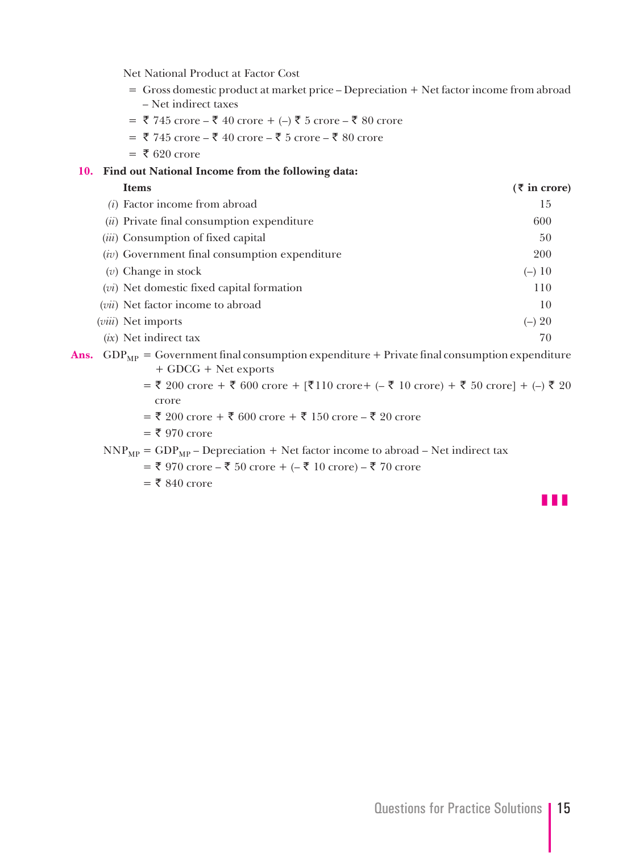Net National Product at Factor Cost

- = Gross domestic product at market price Depreciation + Net factor income from abroad – Net indirect taxes
- $=$  ₹ 745 crore ₹ 40 crore + (–) ₹ 5 crore ₹ 80 crore
- $= 3745$  crore ₹ 40 crore ₹ 5 crore ₹ 80 crore
- $= 5620$  crore
- **10. Find out National Income from the following data:**

| <b>Items</b>                                    | $(5 \text{ in } \text{core})$ |
|-------------------------------------------------|-------------------------------|
| $(i)$ Factor income from abroad                 | 15                            |
| (ii) Private final consumption expenditure      | 600                           |
| ( <i>iii</i> ) Consumption of fixed capital     | 50                            |
| $(iv)$ Government final consumption expenditure | <b>200</b>                    |
| $(v)$ Change in stock                           | $(-) 10$                      |
| $(vi)$ Net domestic fixed capital formation     | 110                           |
| $(vii)$ Net factor income to abroad             | 10                            |
| ( <i>viii</i> ) Net imports                     | $(-) 20$                      |
| $(ix)$ Net indirect tax                         | 70                            |
|                                                 |                               |

**Ans.**  $GDP_{MP} = Government final consumption expenditure + Private final consumption expenditure$ + GDCG + Net exports

- $= 5,200$  crore +  $\bar{5},600$  crore +  $[\bar{5},110]$  crore +  $(-,\bar{5},10]$  crore) +  $\bar{5},50$  crore] +  $(-),\bar{5},20$ crore
- $=$  ₹ 200 crore + ₹ 600 crore + ₹ 150 crore ₹ 20 crore
- $=$  ₹ 970 crore

 $NNP_{MP} = GDP_{MP} - Depreciation + Net factor income to abroad - Net indirect tax$ 

 $=$  ₹ 970 crore – ₹ 50 crore + (– ₹ 10 crore) – ₹ 70 crore

 $=$  ₹ 840 crore

z z z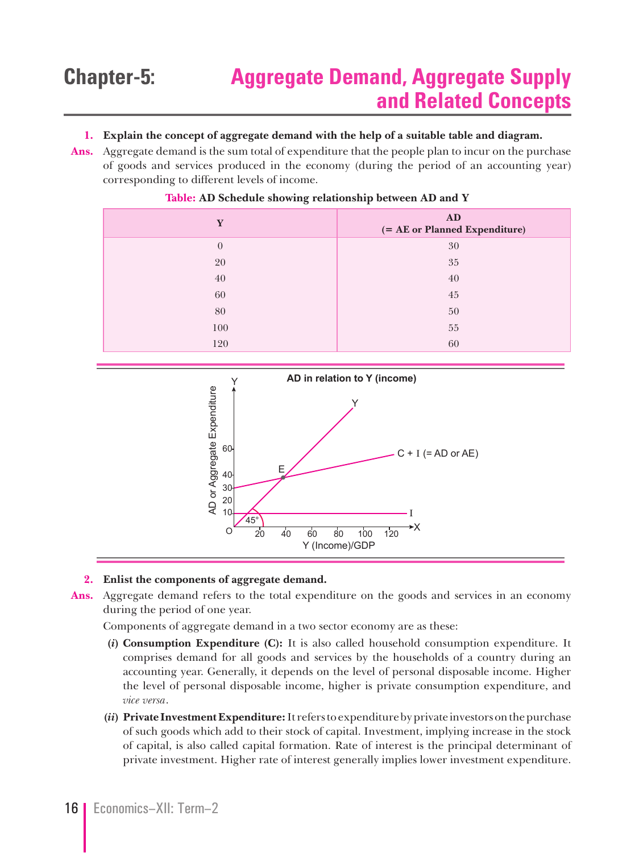### **Chapter-5: Aggregate Demand, Aggregate Supply and Related Concepts**

#### **1. Explain the concept of aggregate demand with the help of a suitable table and diagram.**

**Ans.** Aggregate demand is the sum total of expenditure that the people plan to incur on the purchase of goods and services produced in the economy (during the period of an accounting year) corresponding to different levels of income.

| Y              | AD<br>(= AE or Planned Expenditure) |
|----------------|-------------------------------------|
| $\overline{0}$ | 30                                  |
| 20             | 35                                  |
| 40             | 40                                  |
| 60             | 45                                  |
| 80             | 50                                  |
| 100            | 55                                  |
| 120            | 60                                  |

#### **Table: AD Schedule showing relationship between AD and Y**



#### **2. Enlist the components of aggregate demand.**

**Ans.** Aggregate demand refers to the total expenditure on the goods and services in an economy during the period of one year.

Components of aggregate demand in a two sector economy are as these:

- **(***i***) Consumption Expenditure (C):** It is also called household consumption expenditure. It comprises demand for all goods and services by the households of a country during an accounting year. Generally, it depends on the level of personal disposable income. Higher the level of personal disposable income, higher is private consumption expenditure, and *vice versa*.
- **(***ii***) Private Investment Expenditure:** It refers to expenditure by private investors on the purchase of such goods which add to their stock of capital. Investment, implying increase in the stock of capital, is also called capital formation. Rate of interest is the principal determinant of private investment. Higher rate of interest generally implies lower investment expenditure.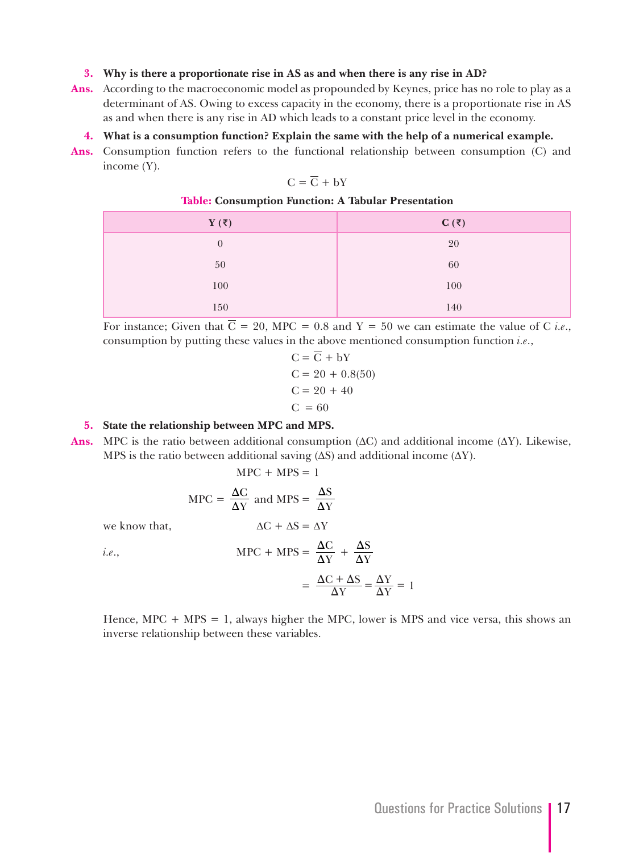#### **3. Why is there a proportionate rise in AS as and when there is any rise in AD?**

- **Ans.** According to the macroeconomic model as propounded by Keynes, price has no role to play as a determinant of AS. Owing to excess capacity in the economy, there is a proportionate rise in AS as and when there is any rise in AD which leads to a constant price level in the economy.
	- **4. What is a consumption function? Explain the same with the help of a numerical example.**
- **Ans.** Consumption function refers to the functional relationship between consumption (C) and income (Y).

$$
C = \overline{C} + bY
$$

#### **Table: Consumption Function: A Tabular Presentation**

| $Y(\overline{\tau})$ | $C(\bar{z})$ |
|----------------------|--------------|
| $\overline{0}$       | 20           |
| 50                   | 60           |
| 100                  | 100          |
| 150                  | 140          |

For instance; Given that  $\overline{C} = 20$ , MPC = 0.8 and Y = 50 we can estimate the value of C *i.e.*, consumption by putting these values in the above mentioned consumption function *i.e*.,

$$
C = C + bY
$$
  
\n
$$
C = 20 + 0.8(50)
$$
  
\n
$$
C = 20 + 40
$$
  
\n
$$
C = 60
$$

#### **5. State the relationship between MPC and MPS.**

**Ans.** MPC is the ratio between additional consumption  $(AC)$  and additional income  $(AY)$ . Likewise, MPS is the ratio between additional saving  $( \Delta S )$  and additional income  $( \Delta Y )$ .

 $\Delta$ 

$$
MPC + MPS = 1
$$

$$
MPC = \frac{\Delta C}{\Delta Y} \text{ and } MPS = \frac{\Delta S}{\Delta Y}
$$

we know that,  $\Delta C + \Delta S = \Delta Y$ 

*i.e.*,  
\n
$$
MPC + MPS = \frac{\Delta C}{\Delta Y} + \frac{\Delta S}{\Delta Y}
$$
\n
$$
= \frac{\Delta C + \Delta S}{\Delta Y} = \frac{\Delta Y}{\Delta Y} = 1
$$

Hence,  $MPC + MPS = 1$ , always higher the MPC, lower is MPS and vice versa, this shows an inverse relationship between these variables.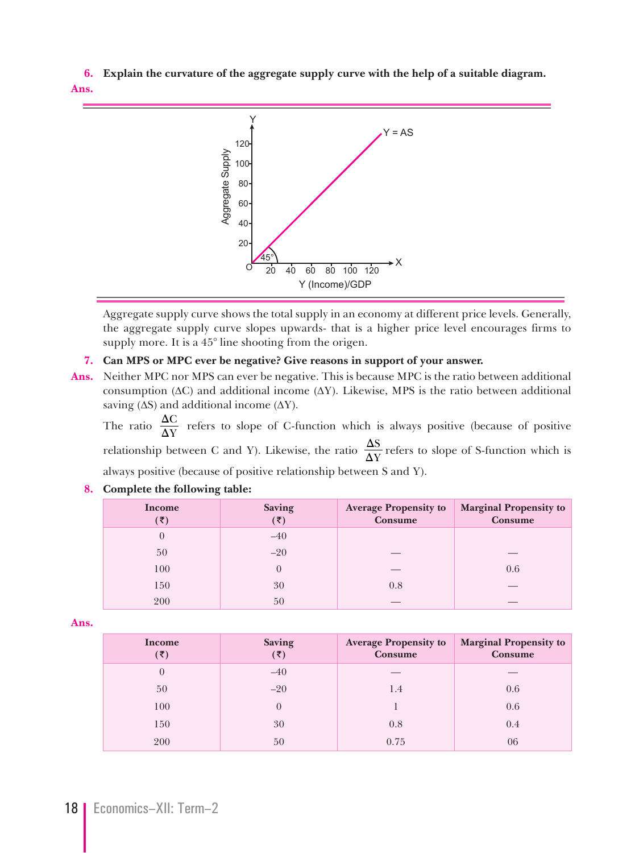**6. Explain the curvature of the aggregate supply curve with the help of a suitable diagram. Ans.**



 Aggregate supply curve shows the total supply in an economy at different price levels. Generally, the aggregate supply curve slopes upwards- that is a higher price level encourages firms to supply more. It is a 45° line shooting from the origen.

### **7. Can MPS or MPC ever be negative? Give reasons in support of your answer.**

**Ans.** Neither MPC nor MPS can ever be negative. This is because MPC is the ratio between additional consumption ( $\Delta C$ ) and additional income ( $\Delta Y$ ). Likewise, MPS is the ratio between additional saving  $(\Delta S)$  and additional income  $(\Delta Y)$ .

The ratio  $\frac{\Delta C}{\Delta Y}$  $\frac{\Delta C}{\Delta Y}$  refers to slope of C-function which is always positive (because of positive relationship between C and Y). Likewise, the ratio  $\frac{\Delta S}{\Delta Y}$  $\frac{\Delta S}{\Delta Y}$  refers to slope of S-function which is always positive (because of positive relationship between S and Y).

| Income<br>(₹) | Saving<br>$(\bar{\bar{\mathbf{z}}})$ | <b>Average Propensity to</b><br><b>Consume</b> | <b>Marginal Propensity to</b><br>Consume |
|---------------|--------------------------------------|------------------------------------------------|------------------------------------------|
| $\theta$      | $-40$                                |                                                |                                          |
| 50            | $-20$                                |                                                |                                          |
| 100           | $\theta$                             |                                                | 0.6                                      |
| 150           | 30                                   | 0.8                                            |                                          |
| 200           | 50                                   |                                                |                                          |

#### **8. Complete the following table:**

**Ans.**

| Income   | <b>Saving</b><br>(₹) | <b>Average Propensity to</b><br>Consume | <b>Marginal Propensity to</b><br>Consume |
|----------|----------------------|-----------------------------------------|------------------------------------------|
| $\theta$ | $-40$                |                                         |                                          |
| 50       | $-20$                | 1.4                                     | 0.6                                      |
| 100      | $\theta$             |                                         | 0.6                                      |
| 150      | 30                   | 0.8                                     | 0.4                                      |
| 200      | 50                   | 0.75                                    | 06                                       |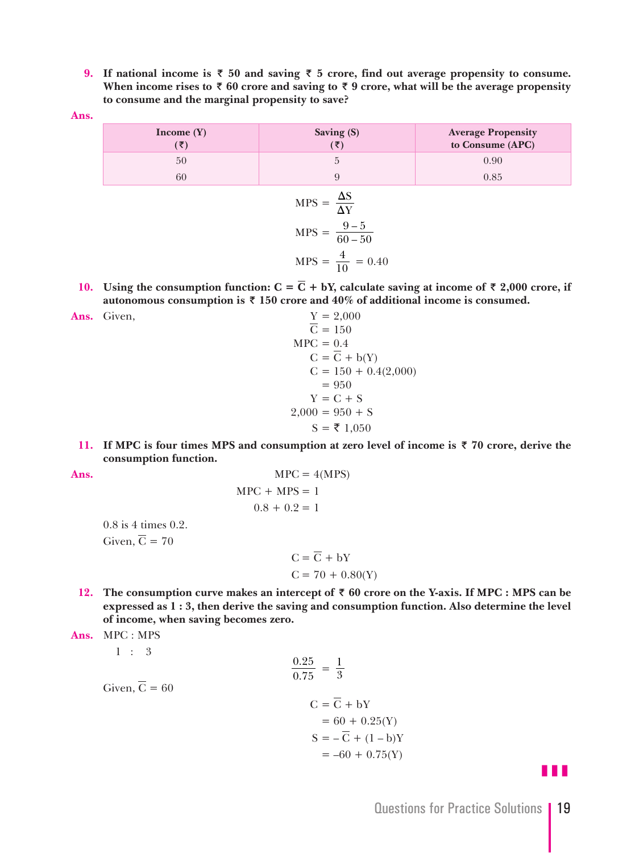**9.** If national income is  $\bar{x}$  50 and saving  $\bar{x}$  5 crore, find out average propensity to consume. When income rises to  $\bar{\tau}$  60 crore and saving to  $\bar{\tau}$  9 crore, what will be the average propensity **to consume and the marginal propensity to save?**

**Ans.**

| Income $(Y)$<br>$(\overline{\mathbf{z}})$ | Saving (S)<br>$(\bar{\mathbf{z}})$                                                            | <b>Average Propensity</b><br>to Consume (APC) |
|-------------------------------------------|-----------------------------------------------------------------------------------------------|-----------------------------------------------|
| 50                                        | 5                                                                                             | 0.90                                          |
| 60                                        | 9                                                                                             | 0.85                                          |
|                                           | $MPS = \frac{\Delta S}{\Delta Y}$<br>MPS = $\frac{9-5}{60-50}$<br>MPS = $\frac{4}{10}$ = 0.40 |                                               |
|                                           |                                                                                               |                                               |

- **10.** Using the consumption function:  $C = \overline{C} + bY$ , calculate saving at income of  $\overline{\tau}$  2,000 crore, if autonomous consumption is  $\bar{x}$  150 crore and 40% of additional income is consumed.
- Ans. Given,
- $\frac{Y}{C} = 2,000$ <br> $\overline{C} = 150$  $MPC = 0.4$  $C = \overline{C} + b(Y)$  $C = 150 + 0.4(2,000)$  $= 950$  $Y = C + S$  $2,000 = 950 + S$  $S = \bar{z} 1,050$ 
	- **11.** If MPC is four times MPS and consumption at zero level of income is  $\overline{\tau}$  70 crore, derive the **consumption function.**

Ans.

\n
$$
MPC = 4(MPS)
$$
\n
$$
MPC + MPS = 1
$$
\n
$$
0.8 + 0.2 = 1
$$

 0.8 is 4 times 0.2. Given,  $\overline{C} = 70$ 

> $C = \overline{C} + bY$  $C = 70 + 0.80(Y)$

**12.** The consumption curve makes an intercept of  $\bar{\tau}$  60 crore on the Y-axis. If MPC : MPS can be **expressed as 1 : 3, then derive the saving and consumption function. Also determine the level of income, when saving becomes zero.**

.

**Ans.** MPC : MPS

1 : 3

 $\frac{32}{0}$ . Given,  $\overline{C} = 60$ 

$$
\frac{0.25}{0.75} = \frac{1}{3}
$$
  
Given,  $\overline{C} = 60$   

$$
C = \overline{C} + bY
$$

$$
= 60 + 0.25(Y)
$$

$$
S = -\overline{C} + (1 - b)Y
$$

$$
= -60 + 0.75(Y)
$$

z z z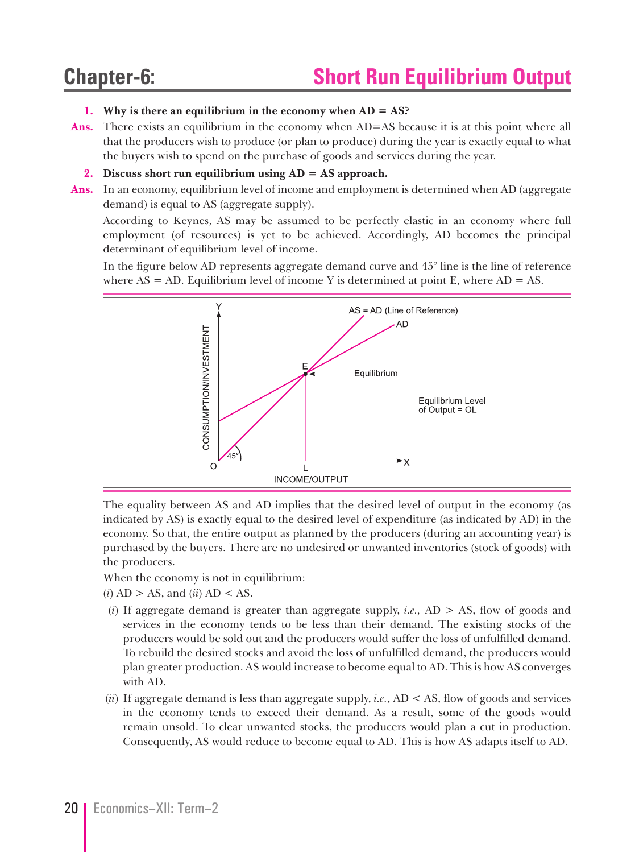## **Chapter-6: Short Run Equilibrium Output**

#### **1. Why is there an equilibrium in the economy when AD = AS?**

**Ans.** There exists an equilibrium in the economy when AD=AS because it is at this point where all that the producers wish to produce (or plan to produce) during the year is exactly equal to what the buyers wish to spend on the purchase of goods and services during the year.

#### **2. Discuss short run equilibrium using AD = AS approach.**

**Ans.** In an economy, equilibrium level of income and employment is determined when AD (aggregate demand) is equal to AS (aggregate supply).

 According to Keynes, AS may be assumed to be perfectly elastic in an economy where full employment (of resources) is yet to be achieved. Accordingly, AD becomes the principal determinant of equilibrium level of income.

 In the figure below AD represents aggregate demand curve and 45° line is the line of reference where  $AS = AD$ . Equilibrium level of income Y is determined at point E, where  $AD = AS$ .



 The equality between AS and AD implies that the desired level of output in the economy (as indicated by AS) is exactly equal to the desired level of expenditure (as indicated by AD) in the economy. So that, the entire output as planned by the producers (during an accounting year) is purchased by the buyers. There are no undesired or unwanted inventories (stock of goods) with the producers.

When the economy is not in equilibrium:

- (*i*) AD > AS, and (*ii*) AD < AS.
- (*i*) If aggregate demand is greater than aggregate supply, *i.e.,* AD > AS, flow of goods and services in the economy tends to be less than their demand. The existing stocks of the producers would be sold out and the producers would suffer the loss of unfulfilled demand. To rebuild the desired stocks and avoid the loss of unfulfilled demand, the producers would plan greater production. AS would increase to become equal to AD. This is how AS converges with AD.
- (*ii*) If aggregate demand is less than aggregate supply, *i.e.*, AD < AS, flow of goods and services in the economy tends to exceed their demand. As a result, some of the goods would remain unsold. To clear unwanted stocks, the producers would plan a cut in production. Consequently, AS would reduce to become equal to AD. This is how AS adapts itself to AD.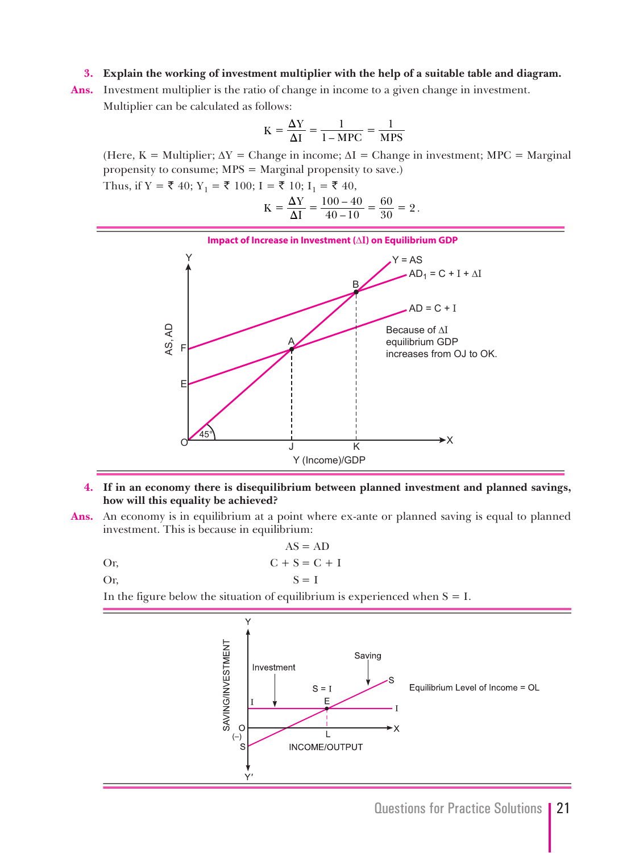#### **3. Explain the working of investment multiplier with the help of a suitable table and diagram.**

**Ans.** Investment multiplier is the ratio of change in income to a given change in investment. Multiplier can be calculated as follows:

$$
K = \frac{\Delta Y}{\Delta I} = \frac{1}{1 - MPC} = \frac{1}{MPS}
$$

(Here, K = Multiplier;  $\Delta Y$  = Change in income;  $\Delta I$  = Change in investment; MPC = Marginal propensity to consume; MPS = Marginal propensity to save.)

Thus, if  $Y = \overline{\xi}$  40;  $Y_1 = \overline{\xi}$  100; I =  $\overline{\xi}$  10; I<sub>1</sub> =  $\overline{\xi}$  40,

$$
K = \frac{\Delta Y}{\Delta I} = \frac{100 - 40}{40 - 10} = \frac{60}{30} = 2.
$$



#### **4. If in an economy there is disequilibrium between planned investment and planned savings, how will this equality be achieved?**

**Ans.** An economy is in equilibrium at a point where ex-ante or planned saving is equal to planned investment. This is because in equilibrium:

$$
AS = AD
$$
  
Or,  

$$
C + S = C + I
$$
  
Or,  

$$
S = I
$$

In the figure below the situation of equilibrium is experienced when  $S = I$ .

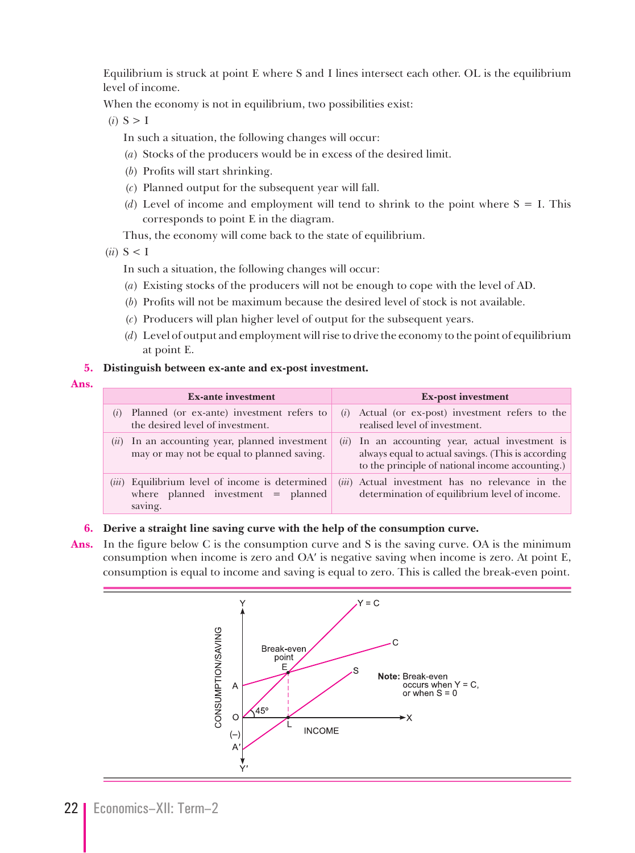Equilibrium is struck at point E where S and I lines intersect each other. OL is the equilibrium level of income.

When the economy is not in equilibrium, two possibilities exist:

- $(i)$  S > I
	- In such a situation, the following changes will occur:
	- (*a*) Stocks of the producers would be in excess of the desired limit.
	- (*b*) Profits will start shrinking.
	- (*c*) Planned output for the subsequent year will fall.
	- (*d*) Level of income and employment will tend to shrink to the point where S = I. This corresponds to point E in the diagram.

Thus, the economy will come back to the state of equilibrium.

 $(ii) S < I$ 

In such a situation, the following changes will occur:

- (*a*) Existing stocks of the producers will not be enough to cope with the level of AD.
- (*b*) Profits will not be maximum because the desired level of stock is not available.
- (*c*) Producers will plan higher level of output for the subsequent years.
- (*d*) Level of output and employment will rise to drive the economy to the point of equilibrium at point E.

#### **5. Distinguish between ex-ante and ex-post investment.**

#### **Ans.**

| <b>Ex-ante investment</b>                                                                                 | <b>Ex-post investment</b>                                                                                                                                    |
|-----------------------------------------------------------------------------------------------------------|--------------------------------------------------------------------------------------------------------------------------------------------------------------|
| Planned (or ex-ante) investment refers to<br>$\left( \iota \right)$<br>the desired level of investment.   | $(i)$ Actual (or ex-post) investment refers to the<br>realised level of investment.                                                                          |
| $(ii)$ In an accounting year, planned investment<br>may or may not be equal to planned saving.            | $(ii)$ In an accounting year, actual investment is<br>always equal to actual savings. (This is according<br>to the principle of national income accounting.) |
| ( <i>iii</i> ) Equilibrium level of income is determined<br>where planned investment = planned<br>saving. | ( <i>iii</i> ) Actual investment has no relevance in the<br>determination of equilibrium level of income.                                                    |

#### **6. Derive a straight line saving curve with the help of the consumption curve.**

**Ans.** In the figure below C is the consumption curve and S is the saving curve. OA is the minimum consumption when income is zero and OA′ is negative saving when income is zero. At point E, consumption is equal to income and saving is equal to zero. This is called the break-even point.

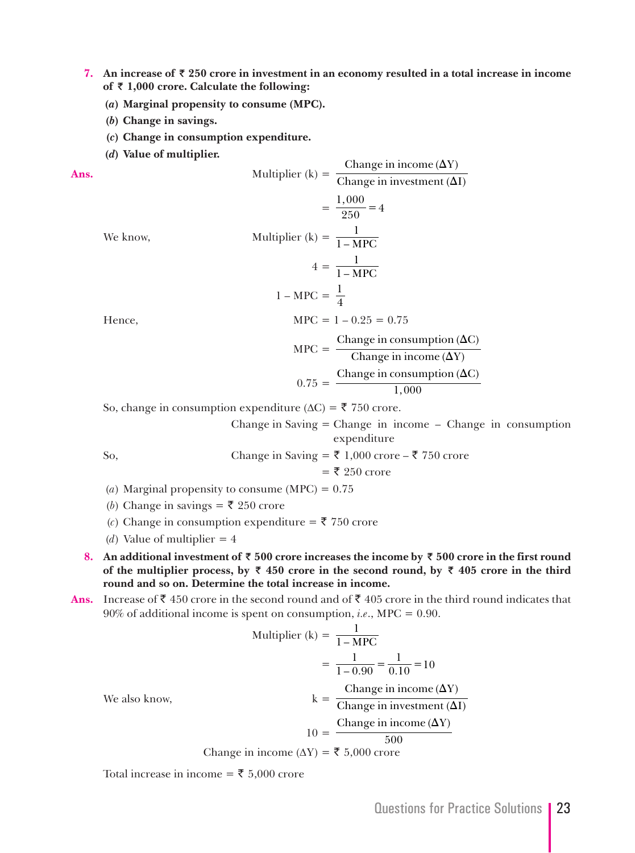- **7.** An increase of ₹ 250 crore in investment in an economy resulted in a total increase in income **of ™ 1,000 crore. Calculate the following:** 
	- **(***a***) Marginal propensity to consume (MPC).**
	- **(***b***) Change in savings.**
	- **(***c***) Change in consumption expenditure.**
	- **(***d***) Value of multiplier.**

Ans.

\nMultiplier (k) = 
$$
\frac{\text{Change in income (}\Delta Y)}{\text{Change in investment (}\Delta I)}
$$

\n=  $\frac{1,000}{250} = 4$ 

\nWe know,

\nMultiplier (k) =  $\frac{1}{1 - \text{MPC}}$ 

\n $4 = \frac{1}{1 - \text{MPC}}$ 

\n $1 - \text{MPC} = \frac{1}{4}$ 

\nHence,

\n $\text{MPC} = 1 - 0.25 = 0.75$ 

\n $\text{MPC} = \frac{\text{Change in consumption (}\Delta C)}{\text{Change in income (}\Delta Y)}$ 

\n $0.75 = \frac{\text{Change in consumption (}\Delta C)}{1,000}$ 

So, change in consumption expenditure ( $\Delta C$ ) = ₹ 750 crore.

 Change in Saving = Change in income – Change in consumption expenditure

So, Change in Saving = ₹ 1,000 crore – ₹ 750 crore

$$
= ₹ 250
$$

- (*a*) Marginal propensity to consume (MPC) =  $0.75$
- (*b*) Change in savings = ₹ 250 crore
- (*c*) Change in consumption expenditure =  $\bar{\mathbf{\xi}}$  750 crore
- (*d*) Value of multiplier  $= 4$
- **8.** An additional investment of ₹500 crore increases the income by ₹500 crore in the first round of the multiplier process, by  $\bar{x}$  450 crore in the second round, by  $\bar{x}$  405 crore in the third **round and so on. Determine the total increase in income.**
- **Ans.** Increase of ₹450 crore in the second round and of ₹405 crore in the third round indicates that 90% of additional income is spent on consumption, *i.e*., MPC = 0.90.

Multiplier (k) = 
$$
\frac{1}{1 - \text{MPC}}
$$

\n
$$
= \frac{1}{1 - 0.90} = \frac{1}{0.10} = 10
$$
\nWe also know,

\n
$$
k = \frac{\text{Change in income }(\Delta Y)}{\text{Change in investment }(\Delta I)}
$$
\n
$$
10 = \frac{\text{Change in income }(\Delta Y)}{500}
$$

Change in income ( $\Delta Y$ ) = ₹ 5,000 crore

Total increase in income = ₹ 5,000 crore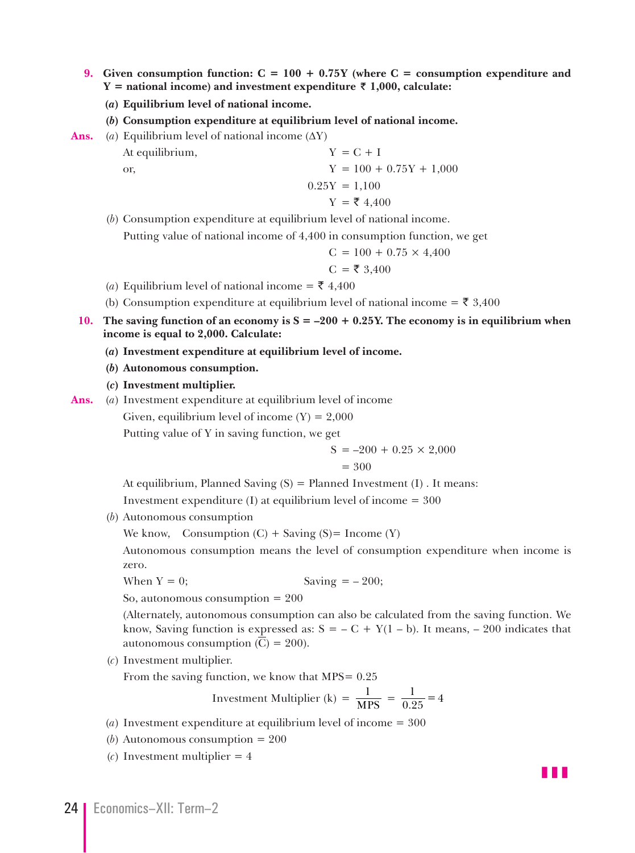- **9. Given consumption function: C = 100 + 0.75Y (where C = consumption expenditure and Y** = national income) and investment expenditure ₹ 1,000, calculate:
	- **(***a***) Equilibrium level of national income.**
	- **(***b***) Consumption expenditure at equilibrium level of national income.**
- **Ans.** (*a*) Equilibrium level of national income  $(\Delta Y)$ At equilibrium,  $Y = C + I$ or,  $Y = 100 + 0.75Y + 1{,}000$  $0.25Y = 1.100$  $Y = ₹ 4,400$ 
	- (*b*) Consumption expenditure at equilibrium level of national income.

Putting value of national income of 4,400 in consumption function, we get

$$
C = 100 + 0.75 \times 4,400
$$

$$
C = \overline{\xi} 3,400
$$

- (*a*) Equilibrium level of national income = ₹ 4,400
- (b) Consumption expenditure at equilibrium level of national income =  $\bar{\xi}$  3,400
- **10.** The saving function of an economy is  $S = -200 + 0.25Y$ . The economy is in equilibrium when **income is equal to 2,000. Calculate:**
	- **(***a***) Investment expenditure at equilibrium level of income.**
	- **(***b***) Autonomous consumption.**
	- **(***c***) Investment multiplier.**
- **Ans.** (*a*) Investment expenditure at equilibrium level of income

Given, equilibrium level of income  $(Y) = 2,000$ 

Putting value of Y in saving function, we get

$$
S = -200 + 0.25 \times 2{,}000
$$

$$
= 300
$$

At equilibrium, Planned Saving  $(S)$  = Planned Investment  $(I)$ . It means:

Investment expenditure  $(I)$  at equilibrium level of income  $= 300$ 

(*b*) Autonomous consumption

We know, Consumption  $(C)$  + Saving  $(S)$ = Income  $(Y)$ 

 Autonomous consumption means the level of consumption expenditure when income is zero.

When  $Y = 0$ ; Saving  $= -200$ ;

So, autonomous consumption = 200

 (Alternately, autonomous consumption can also be calculated from the saving function. We know, Saving function is expressed as:  $S = -C + Y(1 - b)$ . It means,  $- 200$  indicates that autonomous consumption  $(C) = 200$ .

(*c*) Investment multiplier.

From the saving function, we know that  $MPS = 0.25$ 

Investment Multiplier (k) = 
$$
\frac{1}{\text{MPS}}
$$
 =  $\frac{1}{0.25}$  = 4

- (*a*) Investment expenditure at equilibrium level of income = 300
- (*b*) Autonomous consumption = 200
- (*c*) Investment multiplier = 4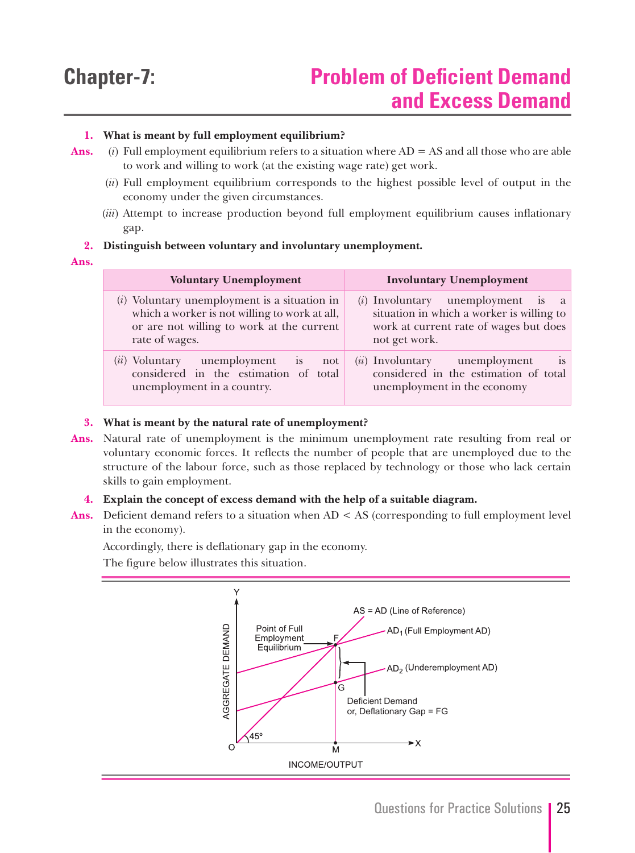#### **1. What is meant by full employment equilibrium?**

- **Ans.** (*i*) Full employment equilibrium refers to a situation where AD = AS and all those who are able to work and willing to work (at the existing wage rate) get work.
	- (*ii*) Full employment equilibrium corresponds to the highest possible level of output in the economy under the given circumstances.
	- (*iii*) Attempt to increase production beyond full employment equilibrium causes inflationary gap.

#### **2. Distinguish between voluntary and involuntary unemployment.**

**Ans.**

| <b>Voluntary Unemployment</b>                                                                                                                                  | <b>Involuntary Unemployment</b>                                                                                                             |
|----------------------------------------------------------------------------------------------------------------------------------------------------------------|---------------------------------------------------------------------------------------------------------------------------------------------|
| $(i)$ Voluntary unemployment is a situation in<br>which a worker is not willing to work at all,<br>or are not willing to work at the current<br>rate of wages. | $(i)$ Involuntary unemployment is a<br>situation in which a worker is willing to<br>work at current rate of wages but does<br>not get work. |
| unemployment is<br>( <i>ii</i> ) Voluntary<br>not<br>considered in the estimation of total<br>unemployment in a country.                                       | ( <i>ii</i> ) Involuntary unemployment<br>1S<br>considered in the estimation of total<br>unemployment in the economy                        |

#### **3. What is meant by the natural rate of unemployment?**

**Ans.** Natural rate of unemployment is the minimum unemployment rate resulting from real or voluntary economic forces. It reflects the number of people that are unemployed due to the structure of the labour force, such as those replaced by technology or those who lack certain skills to gain employment.

#### **4. Explain the concept of excess demand with the help of a suitable diagram.**

Ans. Deficient demand refers to a situation when AD < AS (corresponding to full employment level in the economy).

Accordingly, there is deflationary gap in the economy.

The figure below illustrates this situation.

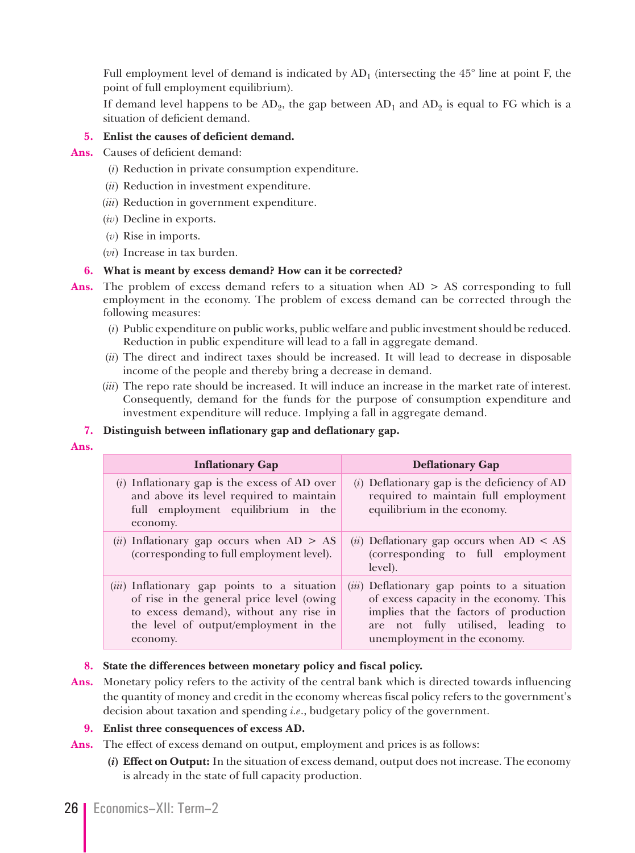Full employment level of demand is indicated by  $AD_1$  (intersecting the 45 $\degree$  line at point F, the point of full employment equilibrium).

If demand level happens to be  $AD_2$ , the gap between  $AD_1$  and  $AD_2$  is equal to FG which is a situation of deficient demand.

#### **5. Enlist the causes of deficient demand.**

- **Ans.** Causes of deficient demand:
	- (*i*) Reduction in private consumption expenditure.
	- (*ii*) Reduction in investment expenditure.
	- (*iii*) Reduction in government expenditure.
	- (*iv*) Decline in exports.
	- (*v*) Rise in imports.
	- (*vi*) Increase in tax burden.

#### **6. What is meant by excess demand? How can it be corrected?**

- Ans. The problem of excess demand refers to a situation when AD > AS corresponding to full employment in the economy. The problem of excess demand can be corrected through the following measures:
	- (*i*) Public expenditure on public works, public welfare and public investment should be reduced. Reduction in public expenditure will lead to a fall in aggregate demand.
	- (*ii*) The direct and indirect taxes should be increased. It will lead to decrease in disposable income of the people and thereby bring a decrease in demand.
	- (*iii*) The repo rate should be increased. It will induce an increase in the market rate of interest. Consequently, demand for the funds for the purpose of consumption expenditure and investment expenditure will reduce. Implying a fall in aggregate demand.

#### **7. Distinguish between inflationary gap and deflationary gap.**

**Ans.**

| <b>Inflationary Gap</b>                                                                                                                                                                           | <b>Deflationary Gap</b>                                                                                                                                                                                 |
|---------------------------------------------------------------------------------------------------------------------------------------------------------------------------------------------------|---------------------------------------------------------------------------------------------------------------------------------------------------------------------------------------------------------|
| $(i)$ Inflationary gap is the excess of AD over<br>and above its level required to maintain<br>full employment equilibrium in the<br>economy.                                                     | $(i)$ Deflationary gap is the deficiency of AD<br>required to maintain full employment<br>equilibrium in the economy.                                                                                   |
| ( <i>ii</i> ) Inflationary gap occurs when $AD > AS$<br>(corresponding to full employment level).                                                                                                 | ( <i>ii</i> ) Deflationary gap occurs when $AD < AS$<br>(corresponding to full employment<br>level).                                                                                                    |
| ( <i>iii</i> ) Inflationary gap points to a situation<br>of rise in the general price level (owing<br>to excess demand), without any rise in<br>the level of output/employment in the<br>economy. | (iii) Deflationary gap points to a situation<br>of excess capacity in the economy. This<br>implies that the factors of production<br>are not fully utilised, leading to<br>unemployment in the economy. |

#### **8. State the differences between monetary policy and fiscal policy.**

**Ans.** Monetary policy refers to the activity of the central bank which is directed towards influencing the quantity of money and credit in the economy whereas fiscal policy refers to the government's decision about taxation and spending *i.e*., budgetary policy of the government.

#### **9. Enlist three consequences of excess AD.**

**Ans.** The effect of excess demand on output, employment and prices is as follows:

 **(***i***) Effect on Output:** In the situation of excess demand, output does not increase. The economy is already in the state of full capacity production.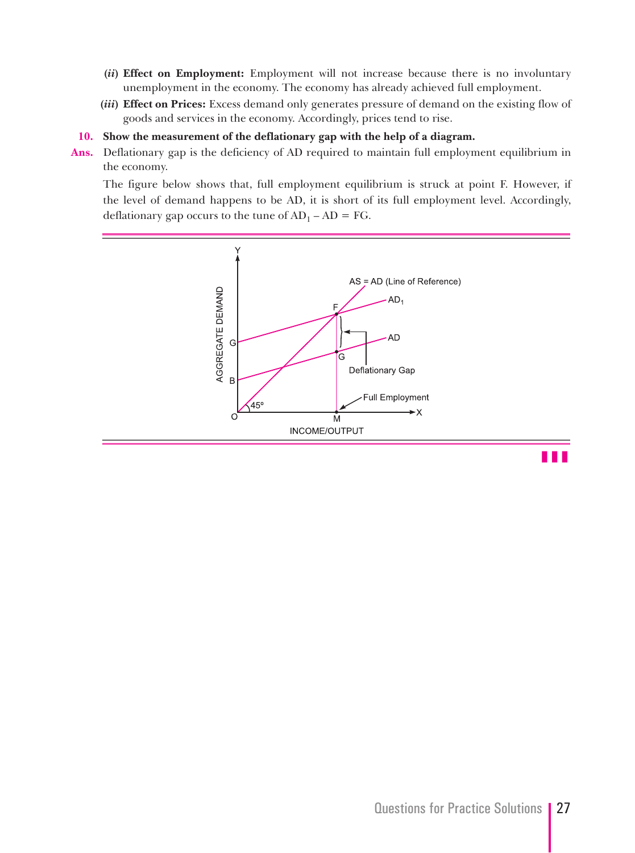- **(***ii***) Effect on Employment:** Employment will not increase because there is no involuntary unemployment in the economy. The economy has already achieved full employment.
- **(***iii***) Effect on Prices:** Excess demand only generates pressure of demand on the existing flow of goods and services in the economy. Accordingly, prices tend to rise.
- **10. Show the measurement of the deflationary gap with the help of a diagram.**
- **Ans.** Deflationary gap is the deficiency of AD required to maintain full employment equilibrium in the economy.

 The figure below shows that, full employment equilibrium is struck at point F. However, if the level of demand happens to be AD, it is short of its full employment level. Accordingly, deflationary gap occurs to the tune of  $AD_1 - AD = FG$ .



z z z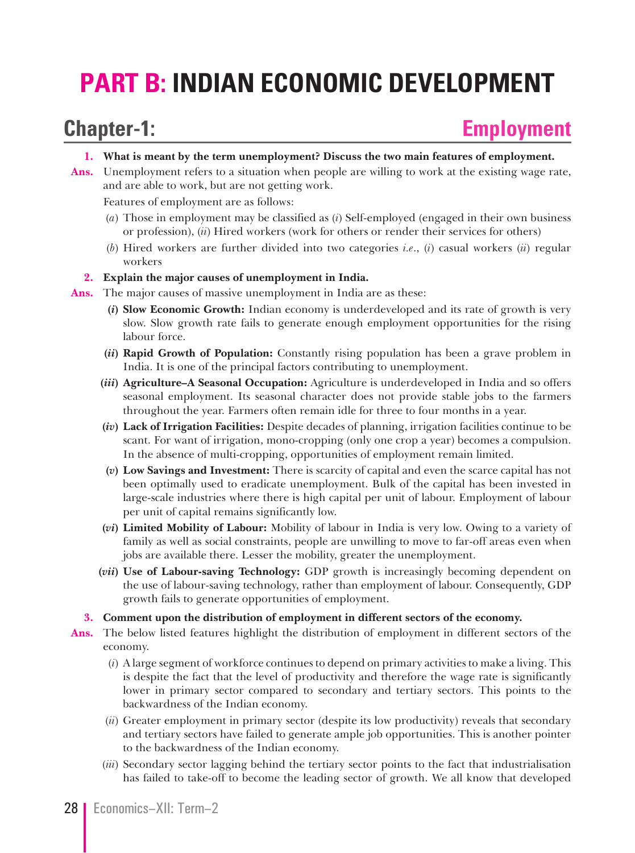# **PART B: INDIAN ECONOMIC DEVELOPMENT**

### **Chapter-1: Employment**

- **1. What is meant by the term unemployment? Discuss the two main features of employment.**
- **Ans.** Unemployment refers to a situation when people are willing to work at the existing wage rate, and are able to work, but are not getting work.

Features of employment are as follows:

- (*a*) Those in employment may be classified as (*i*) Self-employed (engaged in their own business or profession), (*ii*) Hired workers (work for others or render their services for others)
- (*b*) Hired workers are further divided into two categories *i.e*., (*i*) casual workers (*ii*) regular workers
- **2. Explain the major causes of unemployment in India.**
- **Ans.** The major causes of massive unemployment in India are as these:
	- **(***i***) Slow Economic Growth:** Indian economy is underdeveloped and its rate of growth is very slow. Slow growth rate fails to generate enough employment opportunities for the rising labour force.
	- **(***ii***) Rapid Growth of Population:** Constantly rising population has been a grave problem in India. It is one of the principal factors contributing to unemployment.
	- **(***iii***) Agriculture–A Seasonal Occupation:** Agriculture is underdeveloped in India and so offers seasonal employment. Its seasonal character does not provide stable jobs to the farmers throughout the year. Farmers often remain idle for three to four months in a year.
	- **(***iv***) Lack of Irrigation Facilities:** Despite decades of planning, irrigation facilities continue to be scant. For want of irrigation, mono-cropping (only one crop a year) becomes a compulsion. In the absence of multi-cropping, opportunities of employment remain limited.
	- **(***v***) Low Savings and Investment:** There is scarcity of capital and even the scarce capital has not been optimally used to eradicate unemployment. Bulk of the capital has been invested in large-scale industries where there is high capital per unit of labour. Employment of labour per unit of capital remains significantly low.
	- **(***vi***) Limited Mobility of Labour:** Mobility of labour in India is very low. Owing to a variety of family as well as social constraints, people are unwilling to move to far-off areas even when jobs are available there. Lesser the mobility, greater the unemployment.
	- **(***vii***) Use of Labour-saving Technology:** GDP growth is increasingly becoming dependent on the use of labour-saving technology, rather than employment of labour. Consequently, GDP growth fails to generate opportunities of employment.
	- **3. Comment upon the distribution of employment in different sectors of the economy.**
- **Ans.** The below listed features highlight the distribution of employment in different sectors of the economy.
	- (*i*) A large segment of workforce continues to depend on primary activities to make a living. This is despite the fact that the level of productivity and therefore the wage rate is significantly lower in primary sector compared to secondary and tertiary sectors. This points to the backwardness of the Indian economy.
	- (*ii*) Greater employment in primary sector (despite its low productivity) reveals that secondary and tertiary sectors have failed to generate ample job opportunities. This is another pointer to the backwardness of the Indian economy.
	- (*iii*) Secondary sector lagging behind the tertiary sector points to the fact that industrialisation has failed to take-off to become the leading sector of growth. We all know that developed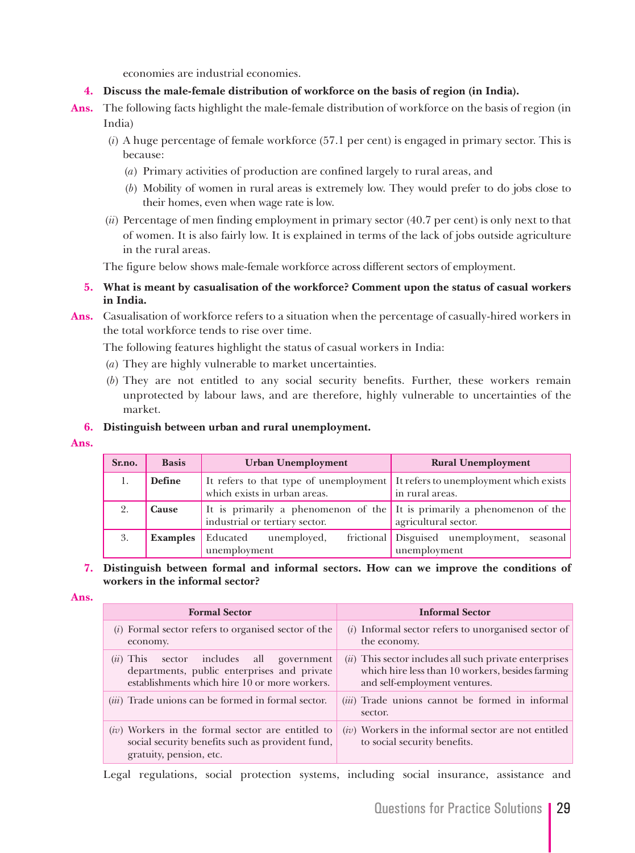economies are industrial economies.

- **4. Discuss the male-female distribution of workforce on the basis of region (in India).**
- **Ans.** The following facts highlight the male-female distribution of workforce on the basis of region (in India)
	- (*i*) A huge percentage of female workforce (57.1 per cent) is engaged in primary sector. This is because:
		- (*a*) Primary activities of production are confined largely to rural areas, and
		- (*b*) Mobility of women in rural areas is extremely low. They would prefer to do jobs close to their homes, even when wage rate is low.
	- (*ii*) Percentage of men finding employment in primary sector (40.7 per cent) is only next to that of women. It is also fairly low. It is explained in terms of the lack of jobs outside agriculture in the rural areas.

The figure below shows male-female workforce across different sectors of employment.

- **5. What is meant by casualisation of the workforce? Comment upon the status of casual workers in India.**
- **Ans.** Casualisation of workforce refers to a situation when the percentage of casually-hired workers in the total workforce tends to rise over time.

The following features highlight the status of casual workers in India:

- (*a*) They are highly vulnerable to market uncertainties.
- (*b*) They are not entitled to any social security benefits. Further, these workers remain unprotected by labour laws, and are therefore, highly vulnerable to uncertainties of the market.

#### **6. Distinguish between urban and rural unemployment.**

**Ans.**

| Sr.no. | <b>Basis</b>  | <b>Urban Unemployment</b>                                                                                     | <b>Rural Unemployment</b>                                   |
|--------|---------------|---------------------------------------------------------------------------------------------------------------|-------------------------------------------------------------|
| -1.    | <b>Define</b> | It refers to that type of unemployment It refers to unemployment which exists<br>which exists in urban areas. | in rural areas.                                             |
|        | <b>Cause</b>  | It is primarily a phenomenon of the It is primarily a phenomenon of the<br>industrial or tertiary sector.     | agricultural sector.                                        |
| 3.     |               | <b>Examples</b> Educated unemployed,<br>unemployment                                                          | frictional Disguised unemployment, seasonal<br>unemployment |

#### **7. Distinguish between formal and informal sectors. How can we improve the conditions of workers in the informal sector?**

#### **Ans.**

| <b>Formal Sector</b>                                                                                                                       | <b>Informal Sector</b>                                                                                                                        |
|--------------------------------------------------------------------------------------------------------------------------------------------|-----------------------------------------------------------------------------------------------------------------------------------------------|
| $(i)$ Formal sector refers to organised sector of the<br>economy.                                                                          | $(i)$ Informal sector refers to unorganised sector of<br>the economy.                                                                         |
| $(ii)$ This sector includes all government<br>departments, public enterprises and private<br>establishments which hire 10 or more workers. | $(ii)$ This sector includes all such private enterprises<br>which hire less than 10 workers, besides farming<br>and self-employment ventures. |
| (iii) Trade unions can be formed in formal sector.                                                                                         | $(iii)$ Trade unions cannot be formed in informal<br>sector.                                                                                  |
| $(iv)$ Workers in the formal sector are entitled to<br>social security benefits such as provident fund,<br>gratuity, pension, etc.         | $(iv)$ Workers in the informal sector are not entitled<br>to social security benefits.                                                        |

Legal regulations, social protection systems, including social insurance, assistance and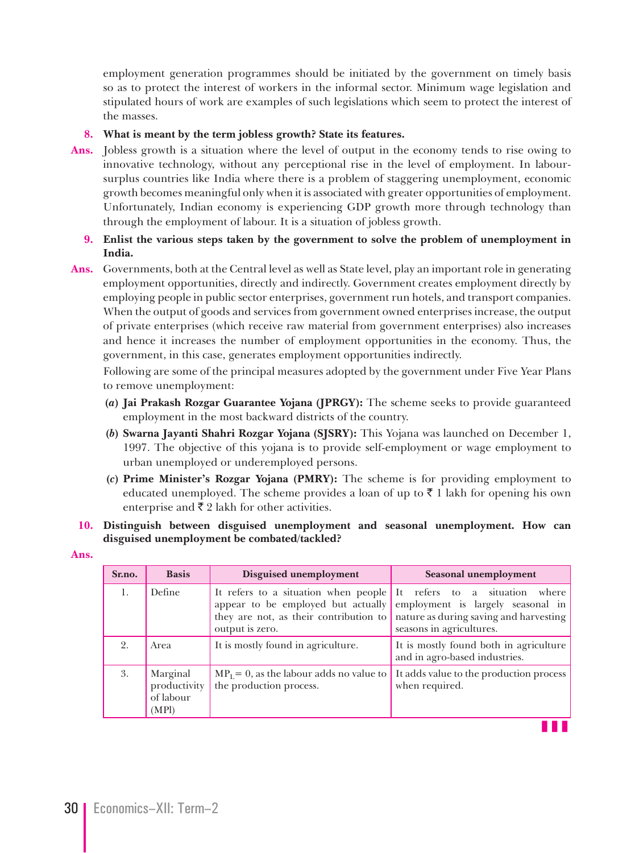employment generation programmes should be initiated by the government on timely basis so as to protect the interest of workers in the informal sector. Minimum wage legislation and stipulated hours of work are examples of such legislations which seem to protect the interest of the masses.

#### **8. What is meant by the term jobless growth? State its features.**

**Ans.** Jobless growth is a situation where the level of output in the economy tends to rise owing to innovative technology, without any perceptional rise in the level of employment. In laboursurplus countries like India where there is a problem of staggering unemployment, economic growth becomes meaningful only when it is associated with greater opportunities of employment. Unfortunately, Indian economy is experiencing GDP growth more through technology than through the employment of labour. It is a situation of jobless growth.

#### **9. Enlist the various steps taken by the government to solve the problem of unemployment in India.**

**Ans.** Governments, both at the Central level as well as State level, play an important role in generating employment opportunities, directly and indirectly. Government creates employment directly by employing people in public sector enterprises, government run hotels, and transport companies. When the output of goods and services from government owned enterprises increase, the output of private enterprises (which receive raw material from government enterprises) also increases and hence it increases the number of employment opportunities in the economy. Thus, the government, in this case, generates employment opportunities indirectly.

 Following are some of the principal measures adopted by the government under Five Year Plans to remove unemployment:

- **(***a***) Jai Prakash Rozgar Guarantee Yojana (JPRGY):** The scheme seeks to provide guaranteed employment in the most backward districts of the country.
- **(***b***) Swarna Jayanti Shahri Rozgar Yojana (SJSRY):** This Yojana was launched on December 1, 1997. The objective of this yojana is to provide self-employment or wage employment to urban unemployed or underemployed persons.
- **(***c***) Prime Minister's Rozgar Yojana (PMRY):** The scheme is for providing employment to educated unemployed. The scheme provides a loan of up to  $\bar{\tau}$  1 lakh for opening his own enterprise and  $\bar{\tau}$  2 lakh for other activities.

#### **10. Distinguish between disguised unemployment and seasonal unemployment. How can disguised unemployment be combated/tackled?**

**Ans.**

| Sr.no. | <b>Basis</b>                                   | Disguised unemployment                                                                 | Seasonal unemployment                                                                                                                                                             |
|--------|------------------------------------------------|----------------------------------------------------------------------------------------|-----------------------------------------------------------------------------------------------------------------------------------------------------------------------------------|
| 1.     | Define                                         | It refers to a situation when people It refers to a situation where<br>output is zero. | appear to be employed but actually employment is largely seasonal in<br>they are not, as their contribution to nature as during saving and harvesting<br>seasons in agricultures. |
| 2.     | Area                                           | It is mostly found in agriculture.                                                     | It is mostly found both in agriculture<br>and in agro-based industries.                                                                                                           |
| 3.     | Marginal<br>productivity<br>of labour<br>(MPI) | $MPL = 0$ , as the labour adds no value to<br>the production process.                  | It adds value to the production process<br>when required.                                                                                                                         |

z z z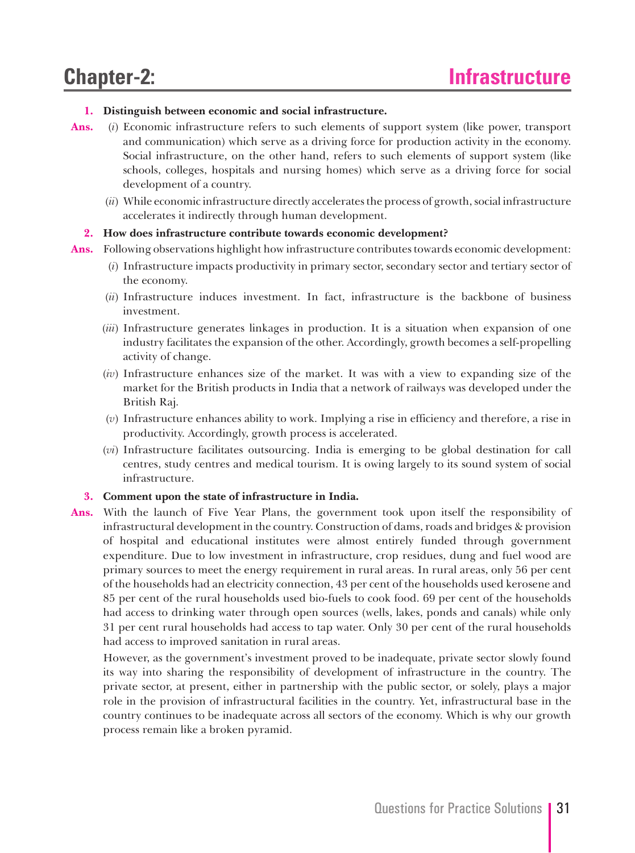#### **1. Distinguish between economic and social infrastructure.**

- **Ans.** (*i*) Economic infrastructure refers to such elements of support system (like power, transport and communication) which serve as a driving force for production activity in the economy. Social infrastructure, on the other hand, refers to such elements of support system (like schools, colleges, hospitals and nursing homes) which serve as a driving force for social development of a country.
	- (*ii*) While economic infrastructure directly accelerates the process of growth, social infrastructure accelerates it indirectly through human development.

#### **2. How does infrastructure contribute towards economic development?**

- **Ans.** Following observations highlight how infrastructure contributes towards economic development:
	- (*i*) Infrastructure impacts productivity in primary sector, secondary sector and tertiary sector of the economy.
	- (*ii*) Infrastructure induces investment. In fact, infrastructure is the backbone of business investment.
	- (*iii*) Infrastructure generates linkages in production. It is a situation when expansion of one industry facilitates the expansion of the other. Accordingly, growth becomes a self-propelling activity of change.
	- (*iv*) Infrastructure enhances size of the market. It was with a view to expanding size of the market for the British products in India that a network of railways was developed under the British Raj.
	- (*v*) Infrastructure enhances ability to work. Implying a rise in efficiency and therefore, a rise in productivity. Accordingly, growth process is accelerated.
	- (*vi*) Infrastructure facilitates outsourcing. India is emerging to be global destination for call centres, study centres and medical tourism. It is owing largely to its sound system of social infrastructure.

#### **3. Comment upon the state of infrastructure in India.**

**Ans.** With the launch of Five Year Plans, the government took upon itself the responsibility of infrastructural development in the country. Construction of dams, roads and bridges & provision of hospital and educational institutes were almost entirely funded through government expenditure. Due to low investment in infrastructure, crop residues, dung and fuel wood are primary sources to meet the energy requirement in rural areas. In rural areas, only 56 per cent of the households had an electricity connection, 43 per cent of the households used kerosene and 85 per cent of the rural households used bio-fuels to cook food. 69 per cent of the households had access to drinking water through open sources (wells, lakes, ponds and canals) while only 31 per cent rural households had access to tap water. Only 30 per cent of the rural households had access to improved sanitation in rural areas.

 However, as the government's investment proved to be inadequate, private sector slowly found its way into sharing the responsibility of development of infrastructure in the country. The private sector, at present, either in partnership with the public sector, or solely, plays a major role in the provision of infrastructural facilities in the country. Yet, infrastructural base in the country continues to be inadequate across all sectors of the economy. Which is why our growth process remain like a broken pyramid.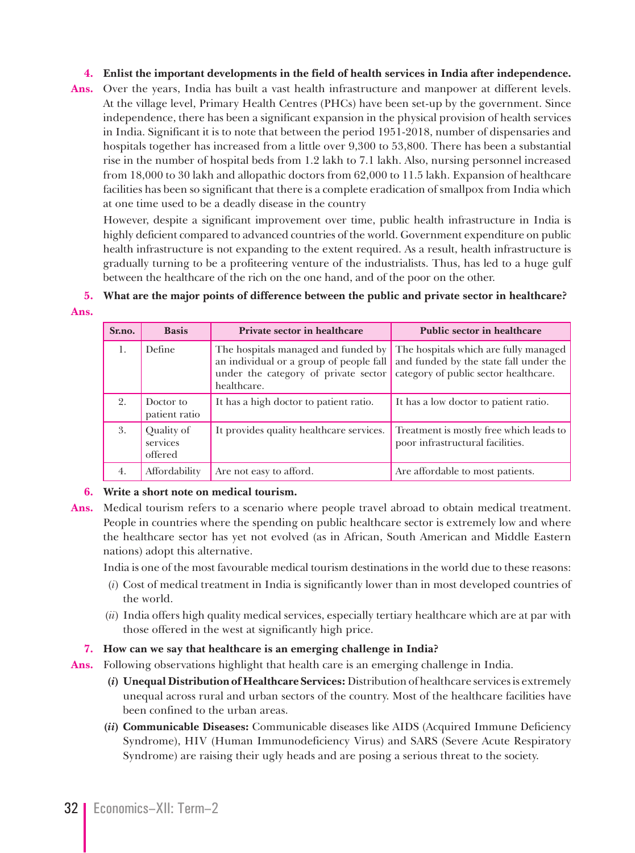#### **4. Enlist the important developments in the field of health services in India after independence.**

**Ans.** Over the years, India has built a vast health infrastructure and manpower at different levels. At the village level, Primary Health Centres (PHCs) have been set-up by the government. Since independence, there has been a significant expansion in the physical provision of health services in India. Significant it is to note that between the period 1951-2018, number of dispensaries and hospitals together has increased from a little over 9,300 to 53,800. There has been a substantial rise in the number of hospital beds from 1.2 lakh to 7.1 lakh. Also, nursing personnel increased from 18,000 to 30 lakh and allopathic doctors from 62,000 to 11.5 lakh. Expansion of healthcare facilities has been so significant that there is a complete eradication of smallpox from India which at one time used to be a deadly disease in the country

 However, despite a significant improvement over time, public health infrastructure in India is highly deficient compared to advanced countries of the world. Government expenditure on public health infrastructure is not expanding to the extent required. As a result, health infrastructure is gradually turning to be a profiteering venture of the industrialists. Thus, has led to a huge gulf between the healthcare of the rich on the one hand, and of the poor on the other.

#### **5. What are the major points of difference between the public and private sector in healthcare? Ans.**

| Sr.no. | <b>Basis</b>                      | Private sector in healthcare                                                                                                          | Public sector in healthcare                                                                                              |
|--------|-----------------------------------|---------------------------------------------------------------------------------------------------------------------------------------|--------------------------------------------------------------------------------------------------------------------------|
| 1.     | Define                            | The hospitals managed and funded by<br>an individual or a group of people fall<br>under the category of private sector<br>healthcare. | The hospitals which are fully managed<br>and funded by the state fall under the<br>category of public sector healthcare. |
| 2.     | Doctor to<br>patient ratio        | It has a high doctor to patient ratio.                                                                                                | It has a low doctor to patient ratio.                                                                                    |
| 3.     | Quality of<br>services<br>offered | It provides quality healthcare services.                                                                                              | Treatment is mostly free which leads to<br>poor infrastructural facilities.                                              |
| 4.     | Affordability                     | Are not easy to afford.                                                                                                               | Are affordable to most patients.                                                                                         |

#### **6. Write a short note on medical tourism.**

**Ans.** Medical tourism refers to a scenario where people travel abroad to obtain medical treatment. People in countries where the spending on public healthcare sector is extremely low and where the healthcare sector has yet not evolved (as in African, South American and Middle Eastern nations) adopt this alternative.

India is one of the most favourable medical tourism destinations in the world due to these reasons:

- (*i*) Cost of medical treatment in India is significantly lower than in most developed countries of the world.
- (*ii*) India offers high quality medical services, especially tertiary healthcare which are at par with those offered in the west at significantly high price.
- **7. How can we say that healthcare is an emerging challenge in India?**
- **Ans.** Following observations highlight that health care is an emerging challenge in India.
	- **(***i***) Unequal Distribution of Healthcare Services:** Distribution of healthcare services is extremely unequal across rural and urban sectors of the country. Most of the healthcare facilities have been confined to the urban areas.
	- **(***ii***) Communicable Diseases:** Communicable diseases like AIDS (Acquired Immune Deficiency Syndrome), HIV (Human Immunodeficiency Virus) and SARS (Severe Acute Respiratory Syndrome) are raising their ugly heads and are posing a serious threat to the society.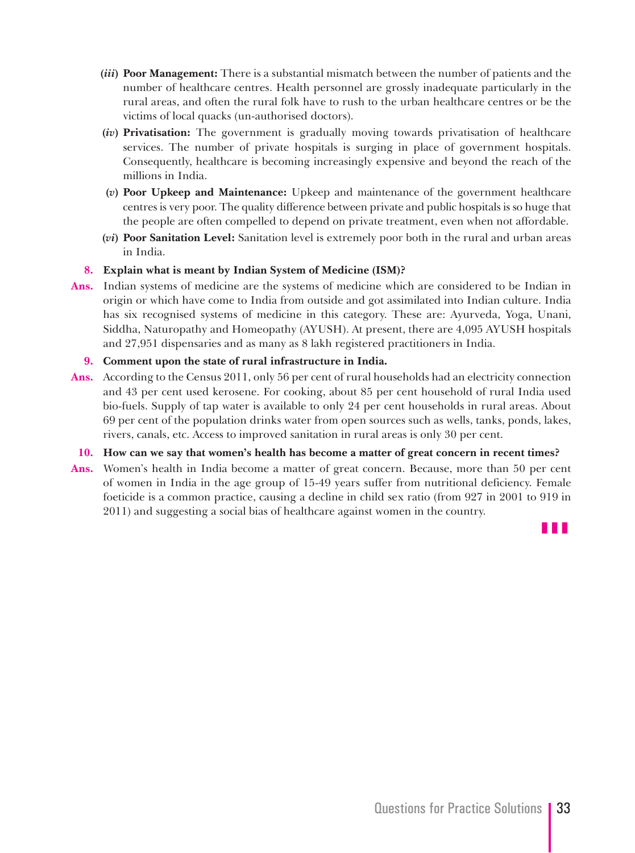- **(***iii***) Poor Management:** There is a substantial mismatch between the number of patients and the number of healthcare centres. Health personnel are grossly inadequate particularly in the rural areas, and often the rural folk have to rush to the urban healthcare centres or be the victims of local quacks (un-authorised doctors).
- **(***iv***) Privatisation:** The government is gradually moving towards privatisation of healthcare services. The number of private hospitals is surging in place of government hospitals. Consequently, healthcare is becoming increasingly expensive and beyond the reach of the millions in India.
- **(***v***) Poor Upkeep and Maintenance:** Upkeep and maintenance of the government healthcare centres is very poor. The quality difference between private and public hospitals is so huge that the people are often compelled to depend on private treatment, even when not affordable.
- **(***vi***) Poor Sanitation Level:** Sanitation level is extremely poor both in the rural and urban areas in India.

#### **8. Explain what is meant by Indian System of Medicine (ISM)?**

**Ans.** Indian systems of medicine are the systems of medicine which are considered to be Indian in origin or which have come to India from outside and got assimilated into Indian culture. India has six recognised systems of medicine in this category. These are: Ayurveda, Yoga, Unani, Siddha, Naturopathy and Homeopathy (AYUSH). At present, there are 4,095 AYUSH hospitals and 27,951 dispensaries and as many as 8 lakh registered practitioners in India.

#### **9. Comment upon the state of rural infrastructure in India.**

**Ans.** According to the Census 2011, only 56 per cent of rural households had an electricity connection and 43 per cent used kerosene. For cooking, about 85 per cent household of rural India used bio-fuels. Supply of tap water is available to only 24 per cent households in rural areas. About 69 per cent of the population drinks water from open sources such as wells, tanks, ponds, lakes, rivers, canals, etc. Access to improved sanitation in rural areas is only 30 per cent.

#### **10. How can we say that women's health has become a matter of great concern in recent times?**

**Ans.** Women's health in India become a matter of great concern. Because, more than 50 per cent of women in India in the age group of 15-49 years suffer from nutritional deficiency. Female foeticide is a common practice, causing a decline in child sex ratio (from 927 in 2001 to 919 in 2011) and suggesting a social bias of healthcare against women in the country.

z z z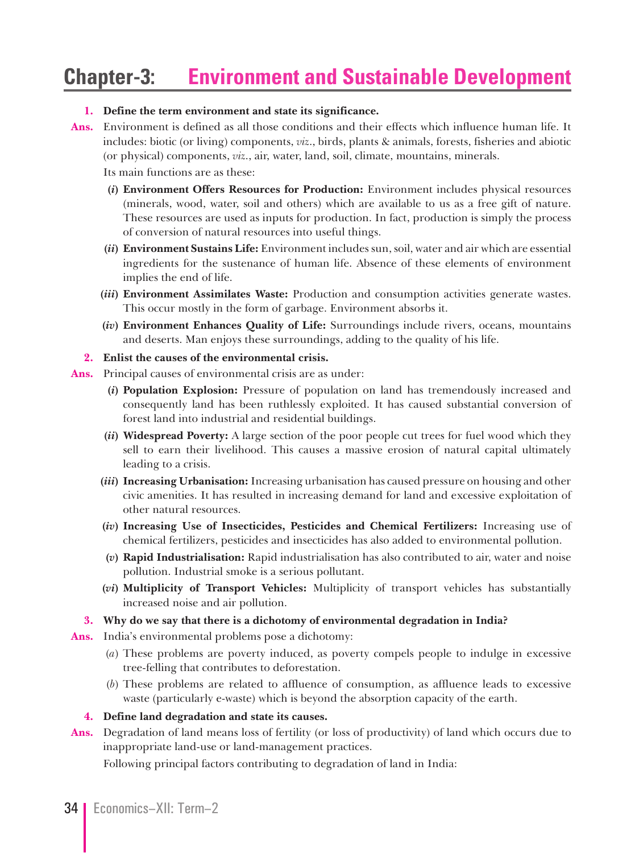### **Chapter-3: Environment and Sustainable Development**

#### **1. Define the term environment and state its significance.**

**Ans.** Environment is defined as all those conditions and their effects which influence human life. It includes: biotic (or living) components, *viz*., birds, plants & animals, forests, fisheries and abiotic (or physical) components, *viz*., air, water, land, soil, climate, mountains, minerals.

Its main functions are as these:

- **(***i***) Environment Offers Resources for Production:** Environment includes physical resources (minerals, wood, water, soil and others) which are available to us as a free gift of nature. These resources are used as inputs for production. In fact, production is simply the process of conversion of natural resources into useful things.
- **(***ii***) Environment Sustains Life:** Environment includes sun, soil, water and air which are essential ingredients for the sustenance of human life. Absence of these elements of environment implies the end of life.
- **(***iii***) Environment Assimilates Waste:** Production and consumption activities generate wastes. This occur mostly in the form of garbage. Environment absorbs it.
- **(***iv***) Environment Enhances Quality of Life:** Surroundings include rivers, oceans, mountains and deserts. Man enjoys these surroundings, adding to the quality of his life.
- **2. Enlist the causes of the environmental crisis.**
- **Ans.** Principal causes of environmental crisis are as under:
	- **(***i***) Population Explosion:** Pressure of population on land has tremendously increased and consequently land has been ruthlessly exploited. It has caused substantial conversion of forest land into industrial and residential buildings.
	- **(***ii***) Widespread Poverty:** A large section of the poor people cut trees for fuel wood which they sell to earn their livelihood. This causes a massive erosion of natural capital ultimately leading to a crisis.
	- **(***iii***) Increasing Urbanisation:** Increasing urbanisation has caused pressure on housing and other civic amenities. It has resulted in increasing demand for land and excessive exploitation of other natural resources.
	- **(***iv***) Increasing Use of Insecticides, Pesticides and Chemical Fertilizers:** Increasing use of chemical fertilizers, pesticides and insecticides has also added to environmental pollution.
	- **(***v***) Rapid Industrialisation:** Rapid industrialisation has also contributed to air, water and noise pollution. Industrial smoke is a serious pollutant.
	- **(***vi***) Multiplicity of Transport Vehicles:** Multiplicity of transport vehicles has substantially increased noise and air pollution.
- **3. Why do we say that there is a dichotomy of environmental degradation in India?**

**Ans.** India's environmental problems pose a dichotomy:

- (*a*) These problems are poverty induced, as poverty compels people to indulge in excessive tree-felling that contributes to deforestation.
- (*b*) These problems are related to affluence of consumption, as affluence leads to excessive waste (particularly e-waste) which is beyond the absorption capacity of the earth.
- **4. Define land degradation and state its causes.**
- **Ans.** Degradation of land means loss of fertility (or loss of productivity) of land which occurs due to inappropriate land-use or land-management practices.

Following principal factors contributing to degradation of land in India: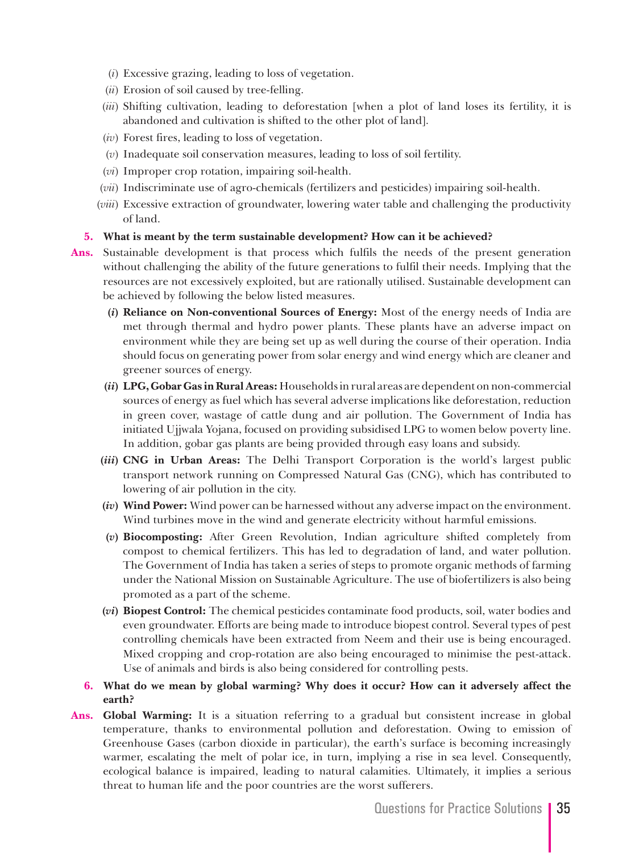- (*i*) Excessive grazing, leading to loss of vegetation.
- (*ii*) Erosion of soil caused by tree-felling.
- (*iii*) Shifting cultivation, leading to deforestation [when a plot of land loses its fertility, it is abandoned and cultivation is shifted to the other plot of land].
- (*iv*) Forest fires, leading to loss of vegetation.
- (*v*) Inadequate soil conservation measures, leading to loss of soil fertility.
- (*vi*) Improper crop rotation, impairing soil-health.
- (*vii*) Indiscriminate use of agro-chemicals (fertilizers and pesticides) impairing soil-health.
- (*viii*) Excessive extraction of groundwater, lowering water table and challenging the productivity of land.

#### **5. What is meant by the term sustainable development? How can it be achieved?**

**Ans.** Sustainable development is that process which fulfils the needs of the present generation

without challenging the ability of the future generations to fulfil their needs. Implying that the resources are not excessively exploited, but are rationally utilised. Sustainable development can be achieved by following the below listed measures.

- **(***i***) Reliance on Non-conventional Sources of Energy:** Most of the energy needs of India are met through thermal and hydro power plants. These plants have an adverse impact on environment while they are being set up as well during the course of their operation. India should focus on generating power from solar energy and wind energy which are cleaner and greener sources of energy.
- **(***ii***) LPG, Gobar Gas in Rural Areas:** Households in rural areas are dependent on non-commercial sources of energy as fuel which has several adverse implications like deforestation, reduction in green cover, wastage of cattle dung and air pollution. The Government of India has initiated Ujjwala Yojana, focused on providing subsidised LPG to women below poverty line. In addition, gobar gas plants are being provided through easy loans and subsidy.
- **(***iii***) CNG in Urban Areas:** The Delhi Transport Corporation is the world's largest public transport network running on Compressed Natural Gas (CNG), which has contributed to lowering of air pollution in the city.
- **(***iv***) Wind Power:** Wind power can be harnessed without any adverse impact on the environment. Wind turbines move in the wind and generate electricity without harmful emissions.
- **(***v***) Biocomposting:** After Green Revolution, Indian agriculture shifted completely from compost to chemical fertilizers. This has led to degradation of land, and water pollution. The Government of India has taken a series of steps to promote organic methods of farming under the National Mission on Sustainable Agriculture. The use of biofertilizers is also being promoted as a part of the scheme.
- **(***vi***) Biopest Control:** The chemical pesticides contaminate food products, soil, water bodies and even groundwater. Efforts are being made to introduce biopest control. Several types of pest controlling chemicals have been extracted from Neem and their use is being encouraged. Mixed cropping and crop-rotation are also being encouraged to minimise the pest-attack. Use of animals and birds is also being considered for controlling pests.

#### **6. What do we mean by global warming? Why does it occur? How can it adversely affect the earth?**

**Ans. Global Warming:** It is a situation referring to a gradual but consistent increase in global temperature, thanks to environmental pollution and deforestation. Owing to emission of Greenhouse Gases (carbon dioxide in particular), the earth's surface is becoming increasingly warmer, escalating the melt of polar ice, in turn, implying a rise in sea level. Consequently, ecological balance is impaired, leading to natural calamities. Ultimately, it implies a serious threat to human life and the poor countries are the worst sufferers.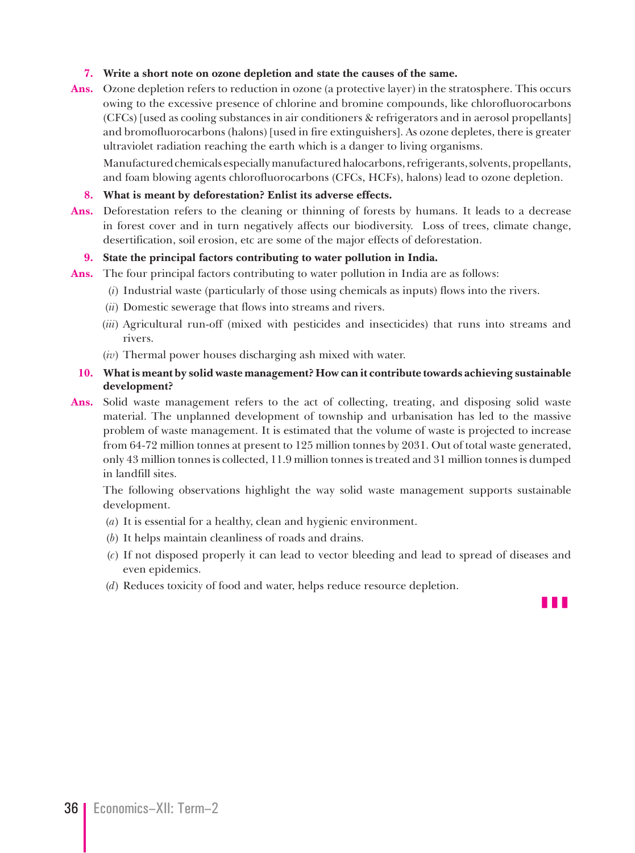#### **7. Write a short note on ozone depletion and state the causes of the same.**

**Ans.** Ozone depletion refers to reduction in ozone (a protective layer) in the stratosphere. This occurs owing to the excessive presence of chlorine and bromine compounds, like chlorofluorocarbons (CFCs) [used as cooling substances in air conditioners & refrigerators and in aerosol propellants] and bromofluorocarbons (halons) [used in fire extinguishers]. As ozone depletes, there is greater ultraviolet radiation reaching the earth which is a danger to living organisms.

 Manufactured chemicals especially manufactured halocarbons, refrigerants, solvents, propellants, and foam blowing agents chlorofluorocarbons (CFCs, HCFs), halons) lead to ozone depletion.

#### **8. What is meant by deforestation? Enlist its adverse effects.**

Ans. Deforestation refers to the cleaning or thinning of forests by humans. It leads to a decrease in forest cover and in turn negatively affects our biodiversity. Loss of trees, climate change, desertification, soil erosion, etc are some of the major effects of deforestation.

#### **9. State the principal factors contributing to water pollution in India.**

- **Ans.** The four principal factors contributing to water pollution in India are as follows:
	- (*i*) Industrial waste (particularly of those using chemicals as inputs) flows into the rivers.
	- (*ii*) Domestic sewerage that flows into streams and rivers.
	- (*iii*) Agricultural run-off (mixed with pesticides and insecticides) that runs into streams and rivers.
	- (*iv*) Thermal power houses discharging ash mixed with water.

#### **10. What is meant by solid waste management? How can it contribute towards achieving sustainable development?**

**Ans.** Solid waste management refers to the act of collecting, treating, and disposing solid waste material. The unplanned development of township and urbanisation has led to the massive problem of waste management. It is estimated that the volume of waste is projected to increase from 64-72 million tonnes at present to 125 million tonnes by 2031. Out of total waste generated, only 43 million tonnes is collected, 11.9 million tonnes is treated and 31 million tonnes is dumped in landfill sites.

 The following observations highlight the way solid waste management supports sustainable development.

- (*a*) It is essential for a healthy, clean and hygienic environment.
- (*b*) It helps maintain cleanliness of roads and drains.
- (*c*) If not disposed properly it can lead to vector bleeding and lead to spread of diseases and even epidemics.
- (*d*) Reduces toxicity of food and water, helps reduce resource depletion.

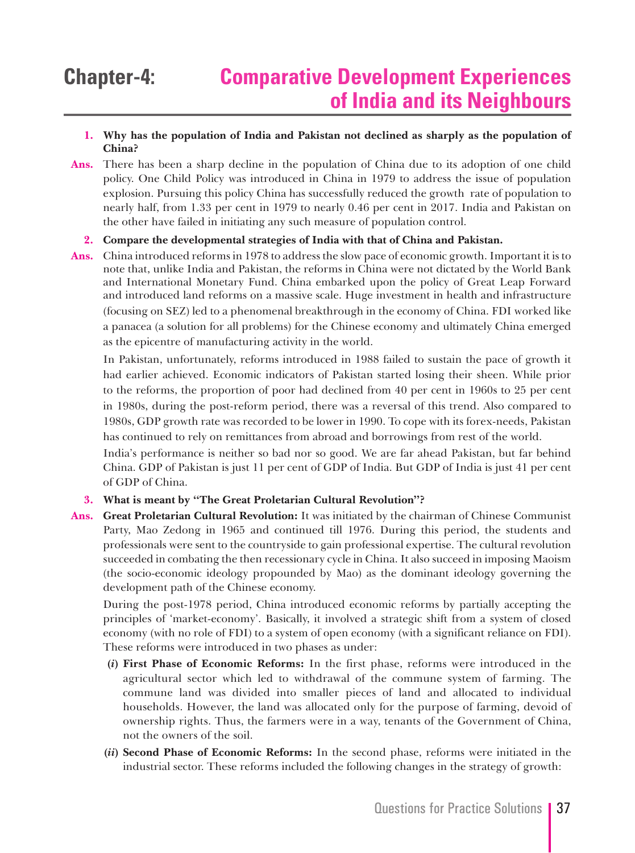#### **1. Why has the population of India and Pakistan not declined as sharply as the population of China?**

**Ans.** There has been a sharp decline in the population of China due to its adoption of one child policy. One Child Policy was introduced in China in 1979 to address the issue of population explosion. Pursuing this policy China has successfully reduced the growth rate of population to nearly half, from 1.33 per cent in 1979 to nearly 0.46 per cent in 2017. India and Pakistan on the other have failed in initiating any such measure of population control.

#### **2. Compare the developmental strategies of India with that of China and Pakistan.**

**Ans.** China introduced reforms in 1978 to address the slow pace of economic growth. Important it is to note that, unlike India and Pakistan, the reforms in China were not dictated by the World Bank and International Monetary Fund. China embarked upon the policy of Great Leap Forward and introduced land reforms on a massive scale. Huge investment in health and infrastructure (focusing on SEZ) led to a phenomenal breakthrough in the economy of China. FDI worked like a panacea (a solution for all problems) for the Chinese economy and ultimately China emerged as the epicentre of manufacturing activity in the world.

 In Pakistan, unfortunately, reforms introduced in 1988 failed to sustain the pace of growth it had earlier achieved. Economic indicators of Pakistan started losing their sheen. While prior to the reforms, the proportion of poor had declined from 40 per cent in 1960s to 25 per cent in 1980s, during the post-reform period, there was a reversal of this trend. Also compared to 1980s, GDP growth rate was recorded to be lower in 1990. To cope with its forex-needs, Pakistan has continued to rely on remittances from abroad and borrowings from rest of the world.

 India's performance is neither so bad nor so good. We are far ahead Pakistan, but far behind China. GDP of Pakistan is just 11 per cent of GDP of India. But GDP of India is just 41 per cent of GDP of China.

#### **3. What is meant by "The Great Proletarian Cultural Revolution"?**

**Ans. Great Proletarian Cultural Revolution:** It was initiated by the chairman of Chinese Communist Party, Mao Zedong in 1965 and continued till 1976. During this period, the students and professionals were sent to the countryside to gain professional expertise. The cultural revolution succeeded in combating the then recessionary cycle in China. It also succeed in imposing Maoism (the socio-economic ideology propounded by Mao) as the dominant ideology governing the development path of the Chinese economy.

 During the post-1978 period, China introduced economic reforms by partially accepting the principles of 'market-economy'. Basically, it involved a strategic shift from a system of closed economy (with no role of FDI) to a system of open economy (with a significant reliance on FDI). These reforms were introduced in two phases as under:

- **(***i***) First Phase of Economic Reforms:** In the first phase, reforms were introduced in the agricultural sector which led to withdrawal of the commune system of farming. The commune land was divided into smaller pieces of land and allocated to individual households. However, the land was allocated only for the purpose of farming, devoid of ownership rights. Thus, the farmers were in a way, tenants of the Government of China, not the owners of the soil.
- **(***ii***) Second Phase of Economic Reforms:** In the second phase, reforms were initiated in the industrial sector. These reforms included the following changes in the strategy of growth: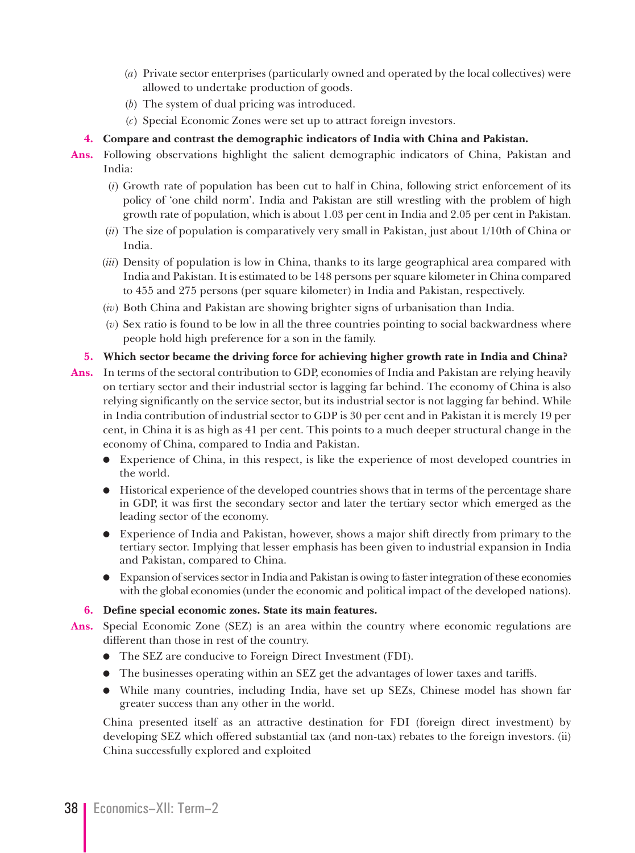- (*a*) Private sector enterprises (particularly owned and operated by the local collectives) were allowed to undertake production of goods.
- (*b*) The system of dual pricing was introduced.
- (*c*) Special Economic Zones were set up to attract foreign investors.

#### **4. Compare and contrast the demographic indicators of India with China and Pakistan.**

- **Ans.** Following observations highlight the salient demographic indicators of China, Pakistan and India:
	- (*i*) Growth rate of population has been cut to half in China, following strict enforcement of its policy of 'one child norm'. India and Pakistan are still wrestling with the problem of high growth rate of population, which is about 1.03 per cent in India and 2.05 per cent in Pakistan.
	- (*ii*) The size of population is comparatively very small in Pakistan, just about 1/10th of China or India.
	- (*iii*) Density of population is low in China, thanks to its large geographical area compared with India and Pakistan. It is estimated to be 148 persons per square kilometer in China compared to 455 and 275 persons (per square kilometer) in India and Pakistan, respectively.
	- (*iv*) Both China and Pakistan are showing brighter signs of urbanisation than India.
	- (*v*) Sex ratio is found to be low in all the three countries pointing to social backwardness where people hold high preference for a son in the family.

#### **5. Which sector became the driving force for achieving higher growth rate in India and China?**

- **Ans.** In terms of the sectoral contribution to GDP, economies of India and Pakistan are relying heavily on tertiary sector and their industrial sector is lagging far behind. The economy of China is also relying significantly on the service sector, but its industrial sector is not lagging far behind. While in India contribution of industrial sector to GDP is 30 per cent and in Pakistan it is merely 19 per cent, in China it is as high as 41 per cent. This points to a much deeper structural change in the economy of China, compared to India and Pakistan.
	- $\bullet$  Experience of China, in this respect, is like the experience of most developed countries in the world.
	- $\bullet$  Historical experience of the developed countries shows that in terms of the percentage share in GDP, it was first the secondary sector and later the tertiary sector which emerged as the leading sector of the economy.
	- <sup>O</sup> Experience of India and Pakistan, however, shows a major shift directly from primary to the tertiary sector. Implying that lesser emphasis has been given to industrial expansion in India and Pakistan, compared to China.
	- <sup>O</sup> Expansion of services sector in India and Pakistan is owing to faster integration of these economies with the global economies (under the economic and political impact of the developed nations).

#### **6. Define special economic zones. State its main features.**

- **Ans.** Special Economic Zone (SEZ) is an area within the country where economic regulations are different than those in rest of the country.
	- <sup>O</sup> The SEZ are conducive to Foreign Direct Investment (FDI).
	- The businesses operating within an SEZ get the advantages of lower taxes and tariffs.
	- <sup>O</sup> While many countries, including India, have set up SEZs, Chinese model has shown far greater success than any other in the world.

 China presented itself as an attractive destination for FDI (foreign direct investment) by developing SEZ which offered substantial tax (and non-tax) rebates to the foreign investors. (ii) China successfully explored and exploited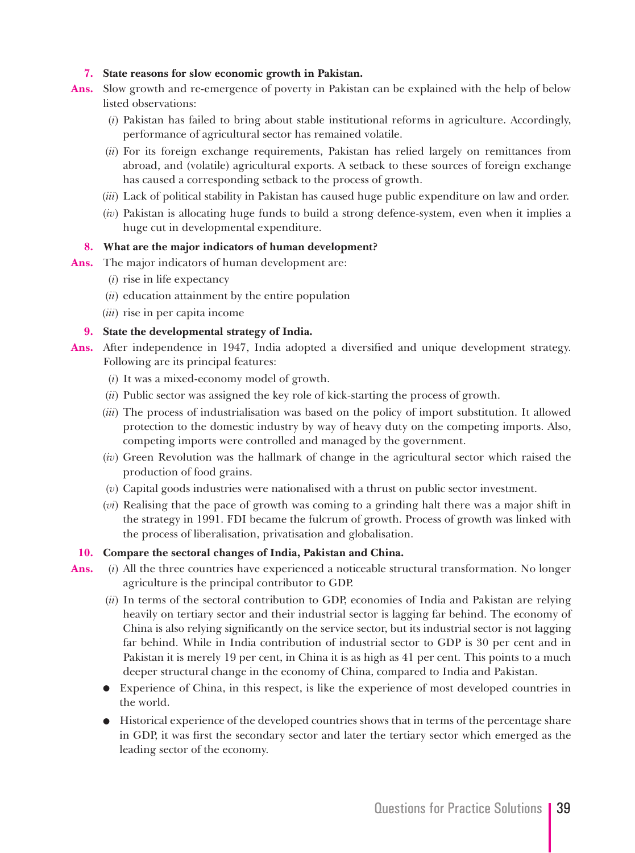#### **7. State reasons for slow economic growth in Pakistan.**

- **Ans.** Slow growth and re-emergence of poverty in Pakistan can be explained with the help of below listed observations:
	- (*i*) Pakistan has failed to bring about stable institutional reforms in agriculture. Accordingly, performance of agricultural sector has remained volatile.
	- (*ii*) For its foreign exchange requirements, Pakistan has relied largely on remittances from abroad, and (volatile) agricultural exports. A setback to these sources of foreign exchange has caused a corresponding setback to the process of growth.
	- (*iii*) Lack of political stability in Pakistan has caused huge public expenditure on law and order.
	- (*iv*) Pakistan is allocating huge funds to build a strong defence-system, even when it implies a huge cut in developmental expenditure.

#### **8. What are the major indicators of human development?**

- **Ans.** The major indicators of human development are:
	- (*i*) rise in life expectancy
	- (*ii*) education attainment by the entire population
	- (*iii*) rise in per capita income

#### **9. State the developmental strategy of India.**

- **Ans.** After independence in 1947, India adopted a diversified and unique development strategy. Following are its principal features:
	- (*i*) It was a mixed-economy model of growth.
	- (*ii*) Public sector was assigned the key role of kick-starting the process of growth.
	- (*iii*) The process of industrialisation was based on the policy of import substitution. It allowed protection to the domestic industry by way of heavy duty on the competing imports. Also, competing imports were controlled and managed by the government.
	- (*iv*) Green Revolution was the hallmark of change in the agricultural sector which raised the production of food grains.
	- (*v*) Capital goods industries were nationalised with a thrust on public sector investment.
	- (*vi*) Realising that the pace of growth was coming to a grinding halt there was a major shift in the strategy in 1991. FDI became the fulcrum of growth. Process of growth was linked with the process of liberalisation, privatisation and globalisation.

#### **10. Compare the sectoral changes of India, Pakistan and China.**

- **Ans.** (*i*) All the three countries have experienced a noticeable structural transformation. No longer agriculture is the principal contributor to GDP.
	- (*ii*) In terms of the sectoral contribution to GDP, economies of India and Pakistan are relying heavily on tertiary sector and their industrial sector is lagging far behind. The economy of China is also relying significantly on the service sector, but its industrial sector is not lagging far behind. While in India contribution of industrial sector to GDP is 30 per cent and in Pakistan it is merely 19 per cent, in China it is as high as 41 per cent. This points to a much deeper structural change in the economy of China, compared to India and Pakistan.
	- <sup>O</sup> Experience of China, in this respect, is like the experience of most developed countries in the world.
	- $\bullet$  Historical experience of the developed countries shows that in terms of the percentage share in GDP, it was first the secondary sector and later the tertiary sector which emerged as the leading sector of the economy.